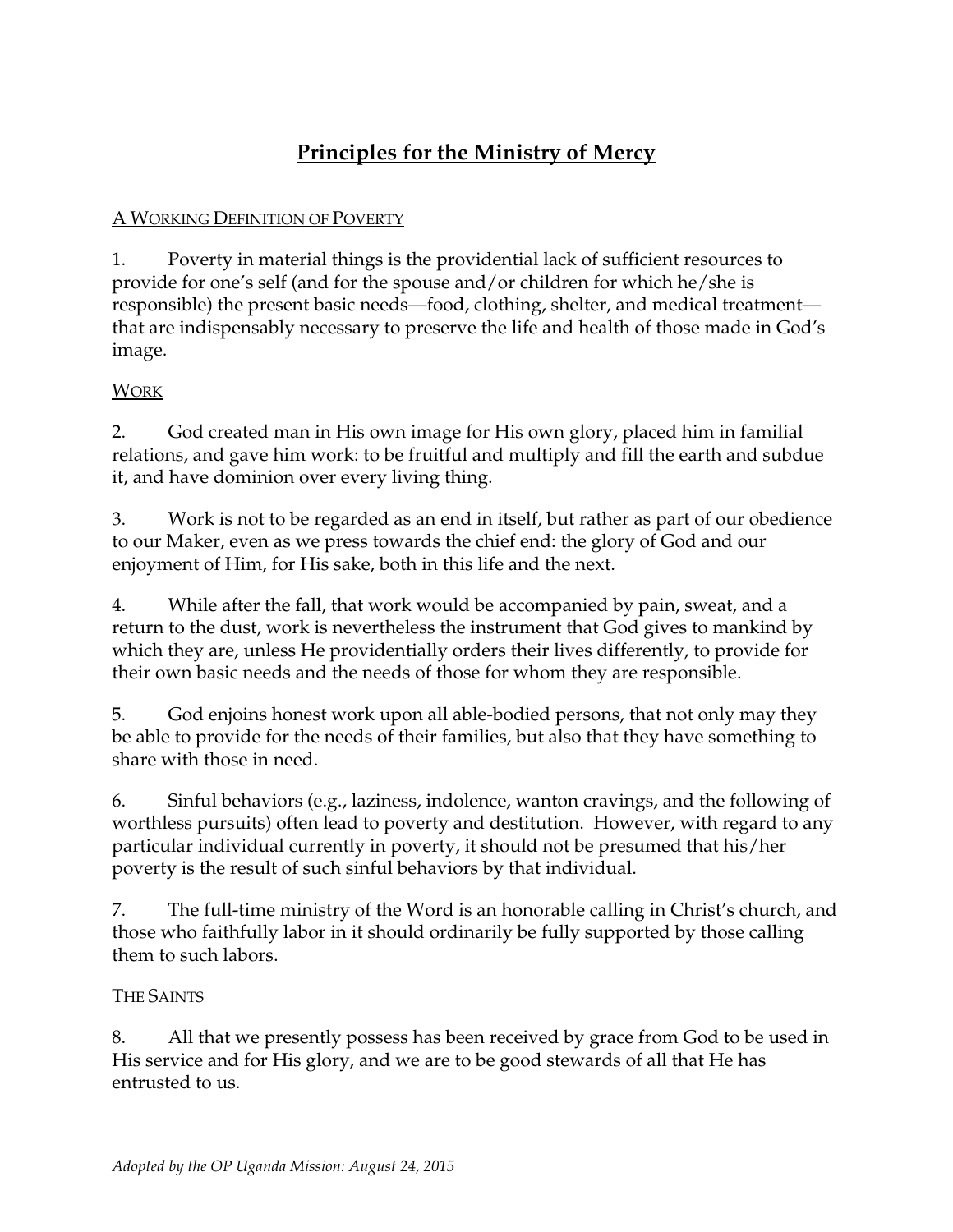# **Principles for the Ministry of Mercy**

### A WORKING DEFINITION OF POVERTY

1. Poverty in material things is the providential lack of sufficient resources to provide for one's self (and for the spouse and/or children for which he/she is responsible) the present basic needs—food, clothing, shelter, and medical treatment that are indispensably necessary to preserve the life and health of those made in God's image.

### **WORK**

2. God created man in His own image for His own glory, placed him in familial relations, and gave him work: to be fruitful and multiply and fill the earth and subdue it, and have dominion over every living thing.

3. Work is not to be regarded as an end in itself, but rather as part of our obedience to our Maker, even as we press towards the chief end: the glory of God and our enjoyment of Him, for His sake, both in this life and the next.

4. While after the fall, that work would be accompanied by pain, sweat, and a return to the dust, work is nevertheless the instrument that God gives to mankind by which they are, unless He providentially orders their lives differently, to provide for their own basic needs and the needs of those for whom they are responsible.

5. God enjoins honest work upon all able-bodied persons, that not only may they be able to provide for the needs of their families, but also that they have something to share with those in need.

6. Sinful behaviors (e.g., laziness, indolence, wanton cravings, and the following of worthless pursuits) often lead to poverty and destitution. However, with regard to any particular individual currently in poverty, it should not be presumed that his/her poverty is the result of such sinful behaviors by that individual.

7. The full-time ministry of the Word is an honorable calling in Christ's church, and those who faithfully labor in it should ordinarily be fully supported by those calling them to such labors.

### THE SAINTS

8. All that we presently possess has been received by grace from God to be used in His service and for His glory, and we are to be good stewards of all that He has entrusted to us.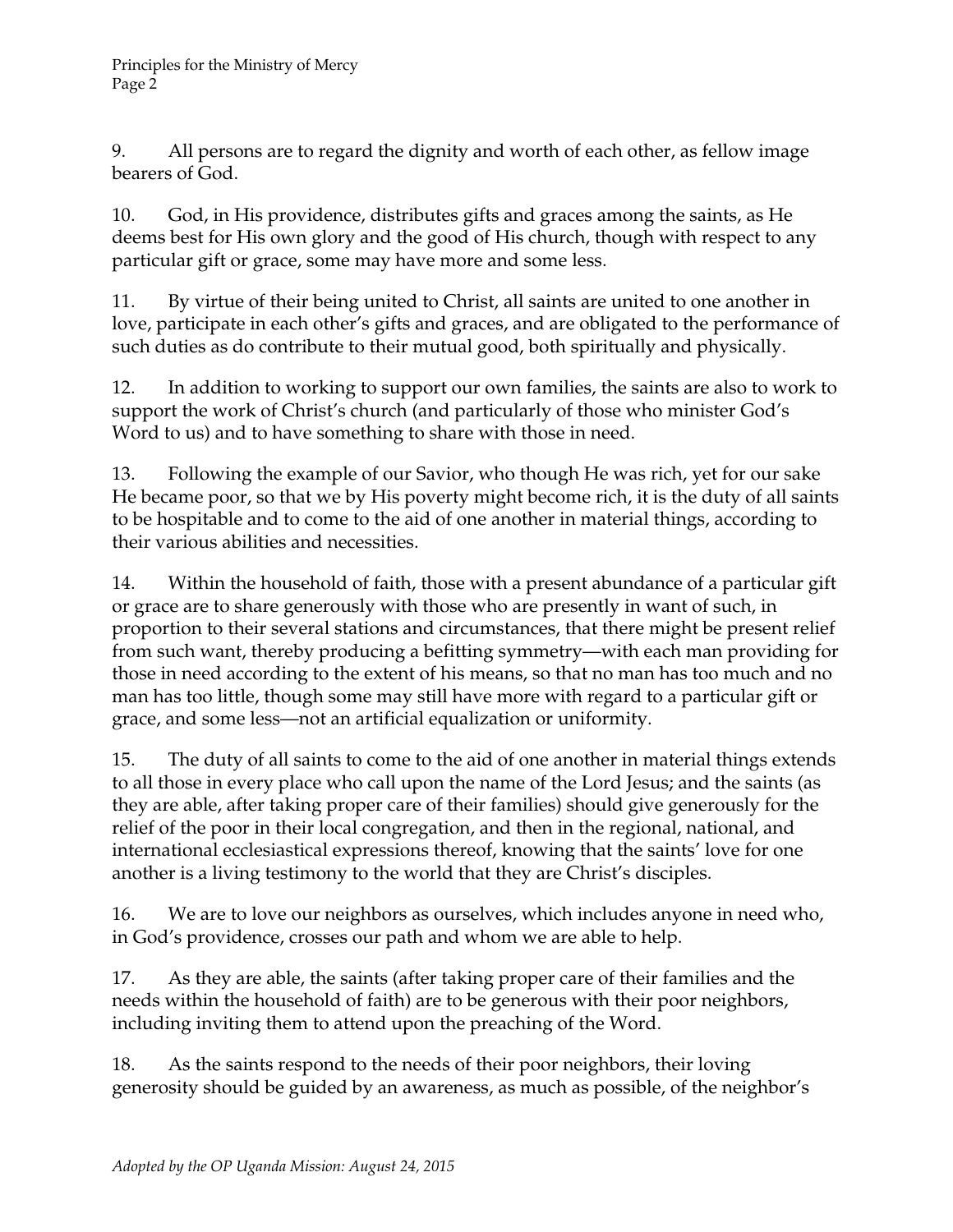9. All persons are to regard the dignity and worth of each other, as fellow image bearers of God.

10. God, in His providence, distributes gifts and graces among the saints, as He deems best for His own glory and the good of His church, though with respect to any particular gift or grace, some may have more and some less.

11. By virtue of their being united to Christ, all saints are united to one another in love, participate in each other's gifts and graces, and are obligated to the performance of such duties as do contribute to their mutual good, both spiritually and physically.

12. In addition to working to support our own families, the saints are also to work to support the work of Christ's church (and particularly of those who minister God's Word to us) and to have something to share with those in need.

13. Following the example of our Savior, who though He was rich, yet for our sake He became poor, so that we by His poverty might become rich, it is the duty of all saints to be hospitable and to come to the aid of one another in material things, according to their various abilities and necessities.

14. Within the household of faith, those with a present abundance of a particular gift or grace are to share generously with those who are presently in want of such, in proportion to their several stations and circumstances, that there might be present relief from such want, thereby producing a befitting symmetry—with each man providing for those in need according to the extent of his means, so that no man has too much and no man has too little, though some may still have more with regard to a particular gift or grace, and some less—not an artificial equalization or uniformity.

15. The duty of all saints to come to the aid of one another in material things extends to all those in every place who call upon the name of the Lord Jesus; and the saints (as they are able, after taking proper care of their families) should give generously for the relief of the poor in their local congregation, and then in the regional, national, and international ecclesiastical expressions thereof, knowing that the saints' love for one another is a living testimony to the world that they are Christ's disciples.

16. We are to love our neighbors as ourselves, which includes anyone in need who, in God's providence, crosses our path and whom we are able to help.

17. As they are able, the saints (after taking proper care of their families and the needs within the household of faith) are to be generous with their poor neighbors, including inviting them to attend upon the preaching of the Word.

18. As the saints respond to the needs of their poor neighbors, their loving generosity should be guided by an awareness, as much as possible, of the neighbor's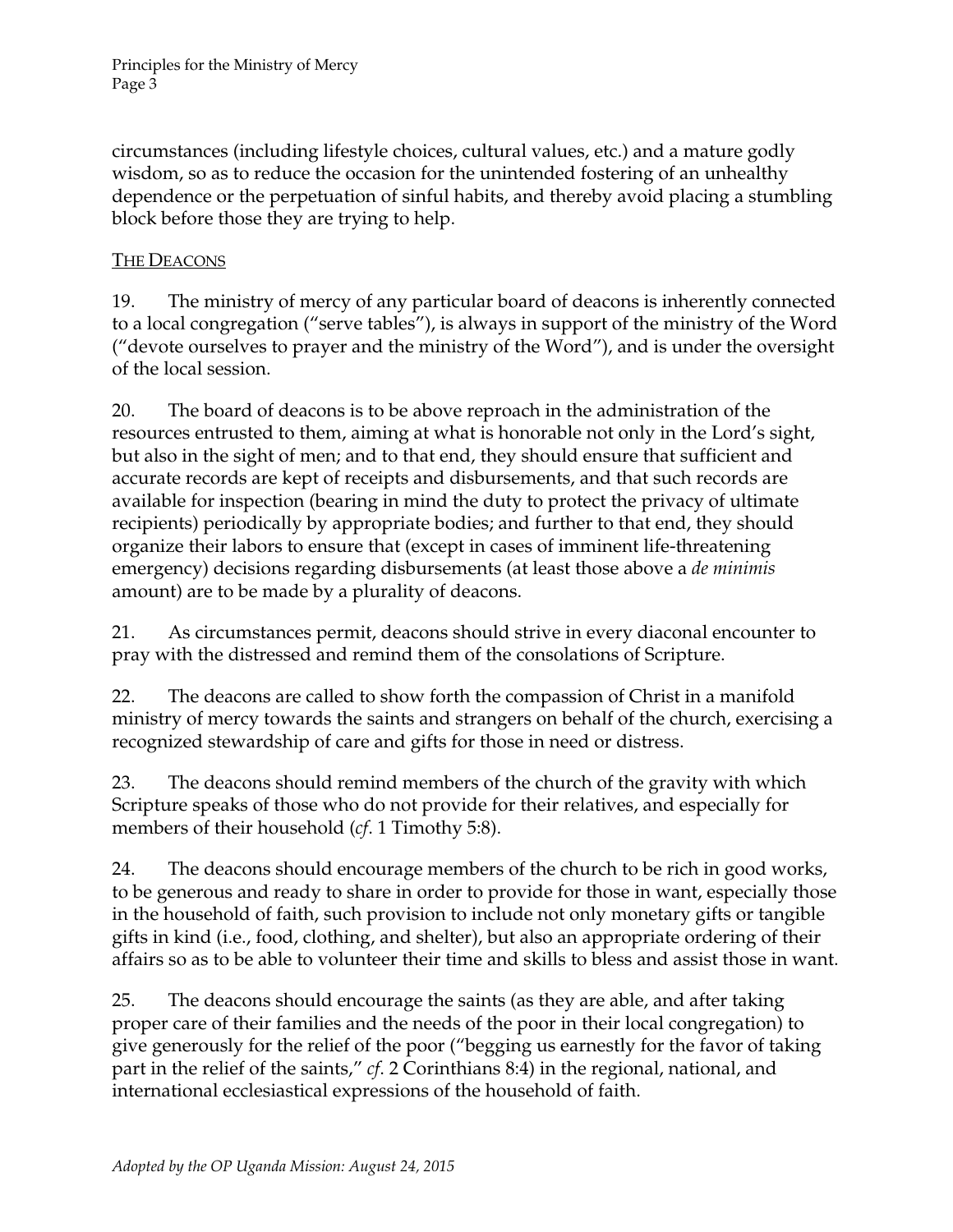circumstances (including lifestyle choices, cultural values, etc.) and a mature godly wisdom, so as to reduce the occasion for the unintended fostering of an unhealthy dependence or the perpetuation of sinful habits, and thereby avoid placing a stumbling block before those they are trying to help.

#### THE DEACONS

19. The ministry of mercy of any particular board of deacons is inherently connected to a local congregation ("serve tables"), is always in support of the ministry of the Word ("devote ourselves to prayer and the ministry of the Word"), and is under the oversight of the local session.

20. The board of deacons is to be above reproach in the administration of the resources entrusted to them, aiming at what is honorable not only in the Lord's sight, but also in the sight of men; and to that end, they should ensure that sufficient and accurate records are kept of receipts and disbursements, and that such records are available for inspection (bearing in mind the duty to protect the privacy of ultimate recipients) periodically by appropriate bodies; and further to that end, they should organize their labors to ensure that (except in cases of imminent life-threatening emergency) decisions regarding disbursements (at least those above a *de minimis* amount) are to be made by a plurality of deacons.

21. As circumstances permit, deacons should strive in every diaconal encounter to pray with the distressed and remind them of the consolations of Scripture.

22. The deacons are called to show forth the compassion of Christ in a manifold ministry of mercy towards the saints and strangers on behalf of the church, exercising a recognized stewardship of care and gifts for those in need or distress.

23. The deacons should remind members of the church of the gravity with which Scripture speaks of those who do not provide for their relatives, and especially for members of their household (*cf*. 1 Timothy 5:8).

24. The deacons should encourage members of the church to be rich in good works, to be generous and ready to share in order to provide for those in want, especially those in the household of faith, such provision to include not only monetary gifts or tangible gifts in kind (i.e., food, clothing, and shelter), but also an appropriate ordering of their affairs so as to be able to volunteer their time and skills to bless and assist those in want.

25. The deacons should encourage the saints (as they are able, and after taking proper care of their families and the needs of the poor in their local congregation) to give generously for the relief of the poor ("begging us earnestly for the favor of taking part in the relief of the saints," *cf*. 2 Corinthians 8:4) in the regional, national, and international ecclesiastical expressions of the household of faith.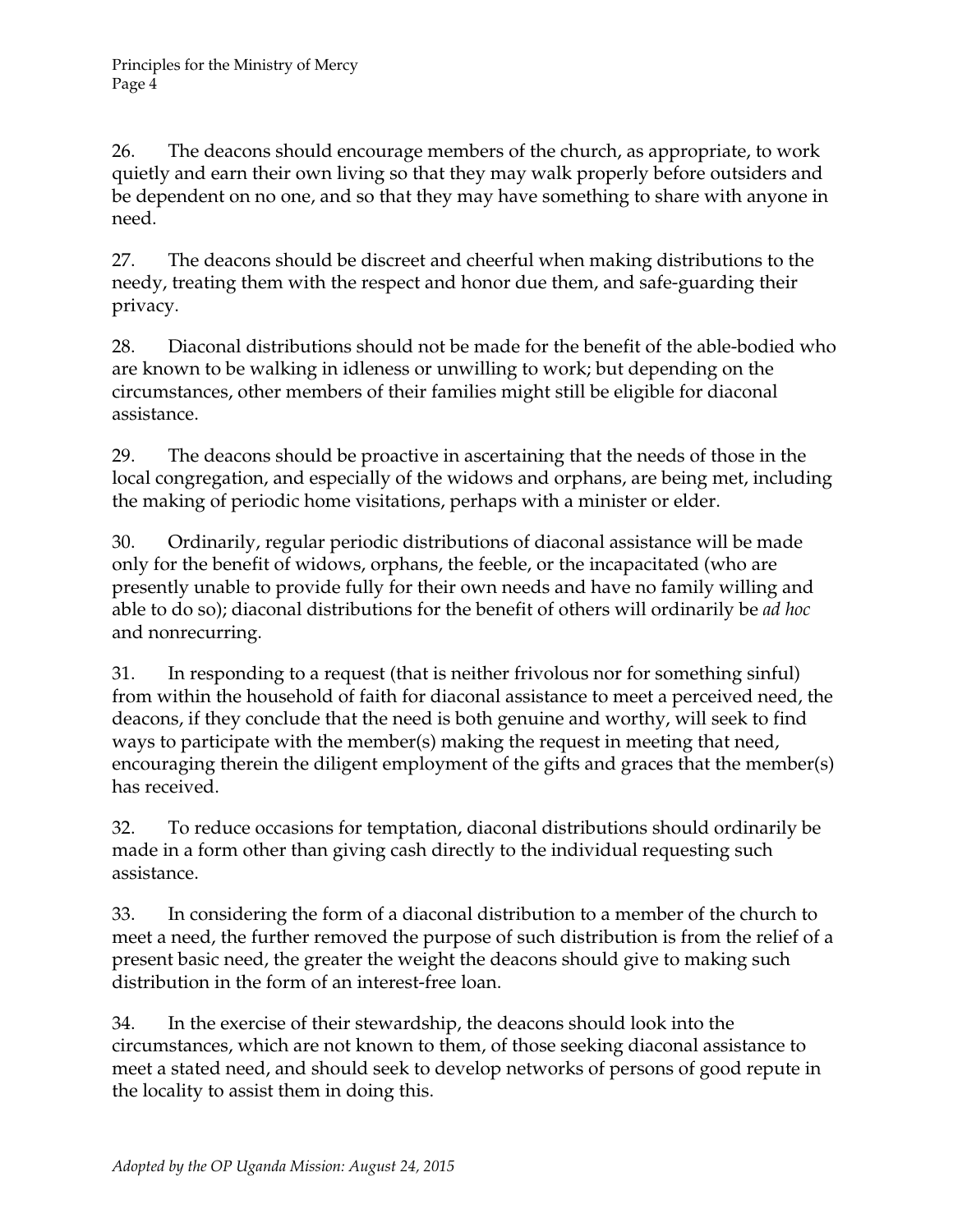26. The deacons should encourage members of the church, as appropriate, to work quietly and earn their own living so that they may walk properly before outsiders and be dependent on no one, and so that they may have something to share with anyone in need.

27. The deacons should be discreet and cheerful when making distributions to the needy, treating them with the respect and honor due them, and safe-guarding their privacy.

28. Diaconal distributions should not be made for the benefit of the able-bodied who are known to be walking in idleness or unwilling to work; but depending on the circumstances, other members of their families might still be eligible for diaconal assistance.

29. The deacons should be proactive in ascertaining that the needs of those in the local congregation, and especially of the widows and orphans, are being met, including the making of periodic home visitations, perhaps with a minister or elder.

30. Ordinarily, regular periodic distributions of diaconal assistance will be made only for the benefit of widows, orphans, the feeble, or the incapacitated (who are presently unable to provide fully for their own needs and have no family willing and able to do so); diaconal distributions for the benefit of others will ordinarily be *ad hoc* and nonrecurring.

31. In responding to a request (that is neither frivolous nor for something sinful) from within the household of faith for diaconal assistance to meet a perceived need, the deacons, if they conclude that the need is both genuine and worthy, will seek to find ways to participate with the member(s) making the request in meeting that need, encouraging therein the diligent employment of the gifts and graces that the member(s) has received.

32. To reduce occasions for temptation, diaconal distributions should ordinarily be made in a form other than giving cash directly to the individual requesting such assistance.

33. In considering the form of a diaconal distribution to a member of the church to meet a need, the further removed the purpose of such distribution is from the relief of a present basic need, the greater the weight the deacons should give to making such distribution in the form of an interest-free loan.

34. In the exercise of their stewardship, the deacons should look into the circumstances, which are not known to them, of those seeking diaconal assistance to meet a stated need, and should seek to develop networks of persons of good repute in the locality to assist them in doing this.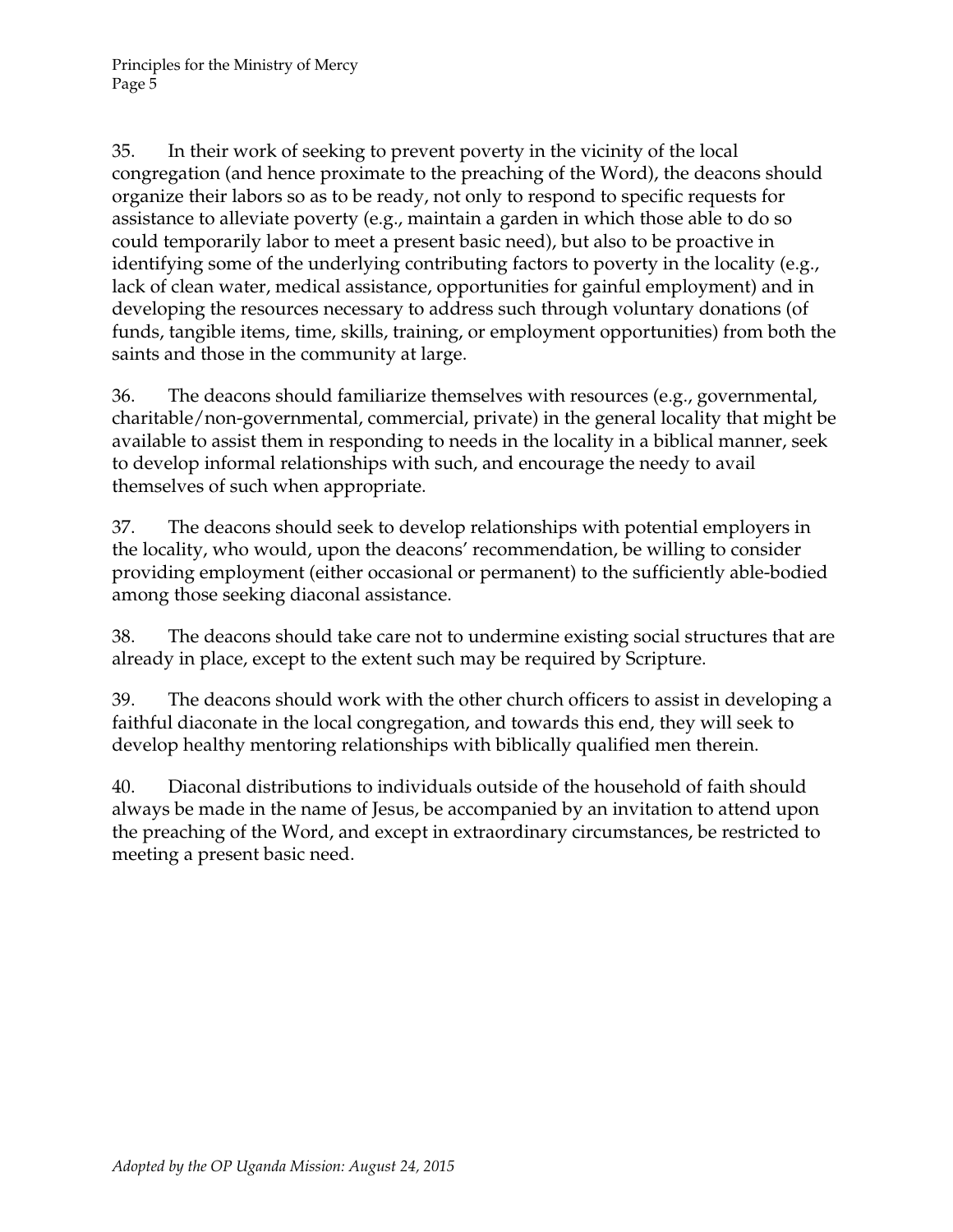35. In their work of seeking to prevent poverty in the vicinity of the local congregation (and hence proximate to the preaching of the Word), the deacons should organize their labors so as to be ready, not only to respond to specific requests for assistance to alleviate poverty (e.g., maintain a garden in which those able to do so could temporarily labor to meet a present basic need), but also to be proactive in identifying some of the underlying contributing factors to poverty in the locality (e.g., lack of clean water, medical assistance, opportunities for gainful employment) and in developing the resources necessary to address such through voluntary donations (of funds, tangible items, time, skills, training, or employment opportunities) from both the saints and those in the community at large.

36. The deacons should familiarize themselves with resources (e.g., governmental, charitable/non-governmental, commercial, private) in the general locality that might be available to assist them in responding to needs in the locality in a biblical manner, seek to develop informal relationships with such, and encourage the needy to avail themselves of such when appropriate.

37. The deacons should seek to develop relationships with potential employers in the locality, who would, upon the deacons' recommendation, be willing to consider providing employment (either occasional or permanent) to the sufficiently able-bodied among those seeking diaconal assistance.

38. The deacons should take care not to undermine existing social structures that are already in place, except to the extent such may be required by Scripture.

39. The deacons should work with the other church officers to assist in developing a faithful diaconate in the local congregation, and towards this end, they will seek to develop healthy mentoring relationships with biblically qualified men therein.

40. Diaconal distributions to individuals outside of the household of faith should always be made in the name of Jesus, be accompanied by an invitation to attend upon the preaching of the Word, and except in extraordinary circumstances, be restricted to meeting a present basic need.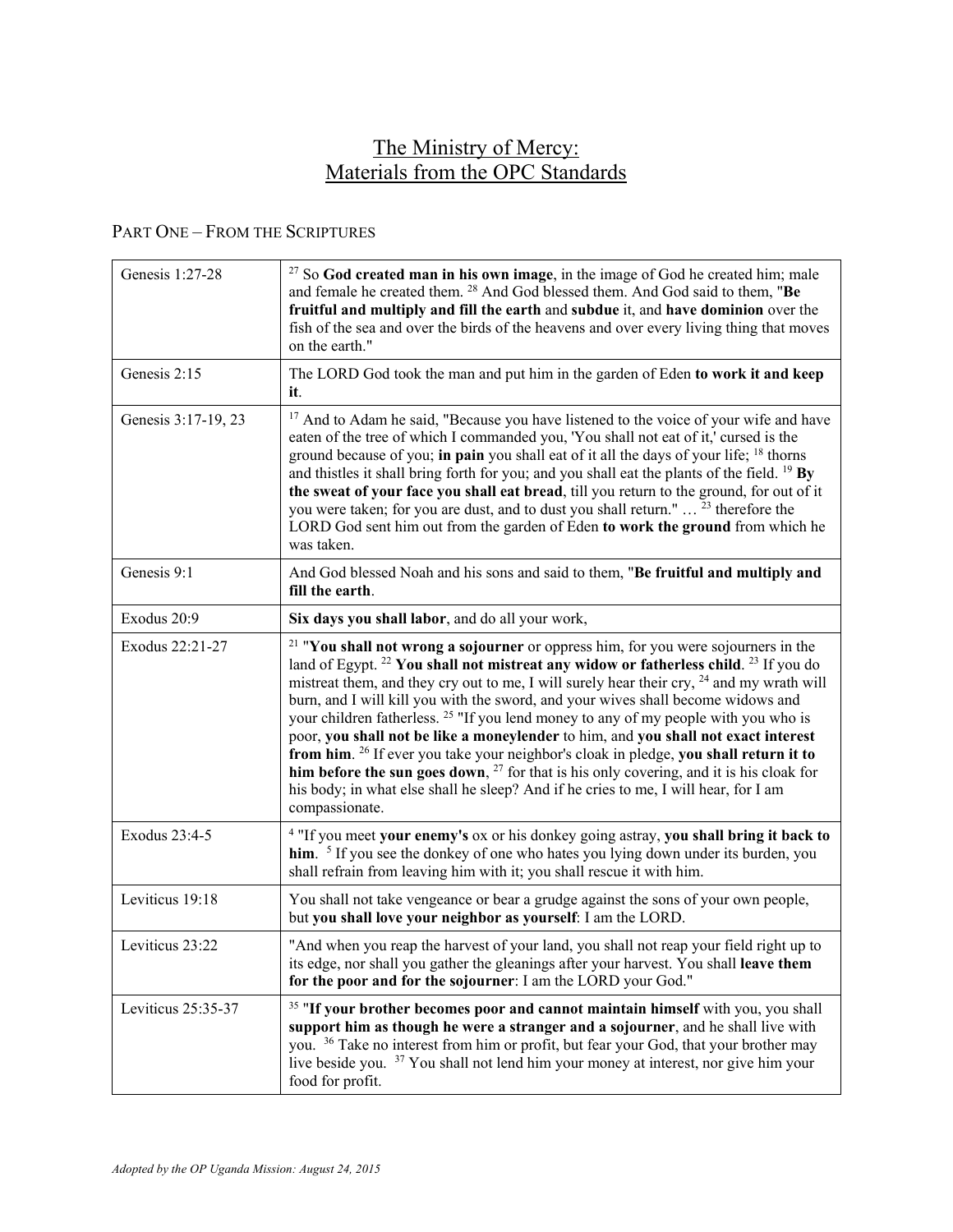# The Ministry of Mercy: Materials from the OPC Standards

#### PART ONE – FROM THE SCRIPTURES

| Genesis 1:27-28     | $27$ So God created man in his own image, in the image of God he created him; male<br>and female he created them. <sup>28</sup> And God blessed them. And God said to them, "Be<br>fruitful and multiply and fill the earth and subdue it, and have dominion over the<br>fish of the sea and over the birds of the heavens and over every living thing that moves<br>on the earth."                                                                                                                                                                                                                                                                                                                                                                                                                                                                                                              |
|---------------------|--------------------------------------------------------------------------------------------------------------------------------------------------------------------------------------------------------------------------------------------------------------------------------------------------------------------------------------------------------------------------------------------------------------------------------------------------------------------------------------------------------------------------------------------------------------------------------------------------------------------------------------------------------------------------------------------------------------------------------------------------------------------------------------------------------------------------------------------------------------------------------------------------|
| Genesis 2:15        | The LORD God took the man and put him in the garden of Eden to work it and keep<br>it.                                                                                                                                                                                                                                                                                                                                                                                                                                                                                                                                                                                                                                                                                                                                                                                                           |
| Genesis 3:17-19, 23 | <sup>17</sup> And to Adam he said, "Because you have listened to the voice of your wife and have<br>eaten of the tree of which I commanded you, 'You shall not eat of it,' cursed is the<br>ground because of you; in pain you shall eat of it all the days of your life; <sup>18</sup> thorns<br>and thistles it shall bring forth for you; and you shall eat the plants of the field. <sup>19</sup> By<br>the sweat of your face you shall eat bread, till you return to the ground, for out of it<br>you were taken; for you are dust, and to dust you shall return." <sup>23</sup> therefore the<br>LORD God sent him out from the garden of Eden to work the ground from which he<br>was taken.                                                                                                                                                                                             |
| Genesis 9:1         | And God blessed Noah and his sons and said to them, "Be fruitful and multiply and<br>fill the earth.                                                                                                                                                                                                                                                                                                                                                                                                                                                                                                                                                                                                                                                                                                                                                                                             |
| Exodus 20:9         | Six days you shall labor, and do all your work,                                                                                                                                                                                                                                                                                                                                                                                                                                                                                                                                                                                                                                                                                                                                                                                                                                                  |
| Exodus 22:21-27     | $21$ "You shall not wrong a sojourner or oppress him, for you were sojourners in the<br>land of Egypt. <sup>22</sup> You shall not mistreat any widow or fatherless child. <sup>23</sup> If you do<br>mistreat them, and they cry out to me, I will surely hear their cry, <sup>24</sup> and my wrath will<br>burn, and I will kill you with the sword, and your wives shall become widows and<br>your children fatherless. <sup>25</sup> "If you lend money to any of my people with you who is<br>poor, you shall not be like a moneylender to him, and you shall not exact interest<br>from him. <sup>26</sup> If ever you take your neighbor's cloak in pledge, you shall return it to<br>him before the sun goes down, $27$ for that is his only covering, and it is his cloak for<br>his body; in what else shall he sleep? And if he cries to me, I will hear, for I am<br>compassionate. |
| Exodus 23:4-5       | <sup>4</sup> "If you meet your enemy's ox or his donkey going astray, you shall bring it back to<br>him. <sup>5</sup> If you see the donkey of one who hates you lying down under its burden, you<br>shall refrain from leaving him with it; you shall rescue it with him.                                                                                                                                                                                                                                                                                                                                                                                                                                                                                                                                                                                                                       |
| Leviticus 19:18     | You shall not take vengeance or bear a grudge against the sons of your own people,<br>but you shall love your neighbor as yourself: I am the LORD.                                                                                                                                                                                                                                                                                                                                                                                                                                                                                                                                                                                                                                                                                                                                               |
| Leviticus 23:22     | "And when you reap the harvest of your land, you shall not reap your field right up to<br>its edge, nor shall you gather the gleanings after your harvest. You shall leave them<br>for the poor and for the sojourner: I am the LORD your God."                                                                                                                                                                                                                                                                                                                                                                                                                                                                                                                                                                                                                                                  |
| Leviticus 25:35-37  | <sup>35</sup> "If your brother becomes poor and cannot maintain himself with you, you shall<br>support him as though he were a stranger and a sojourner, and he shall live with<br>you. <sup>36</sup> Take no interest from him or profit, but fear your God, that your brother may<br>live beside you. <sup>37</sup> You shall not lend him your money at interest, nor give him your<br>food for profit.                                                                                                                                                                                                                                                                                                                                                                                                                                                                                       |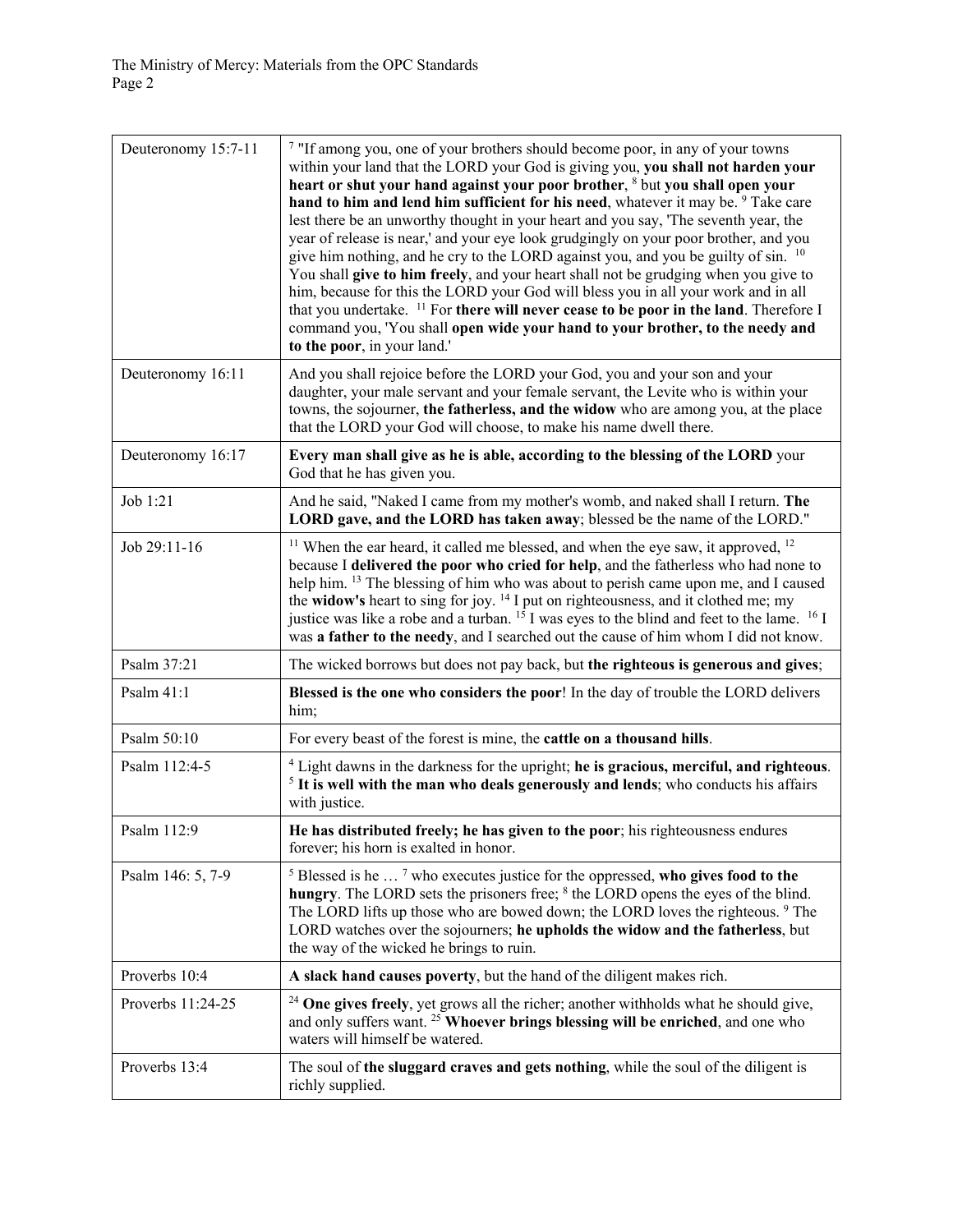| Deuteronomy 15:7-11 | <sup>7</sup> "If among you, one of your brothers should become poor, in any of your towns<br>within your land that the LORD your God is giving you, you shall not harden your<br>heart or shut your hand against your poor brother, <sup>8</sup> but you shall open your<br>hand to him and lend him sufficient for his need, whatever it may be. <sup>9</sup> Take care<br>lest there be an unworthy thought in your heart and you say, 'The seventh year, the<br>year of release is near,' and your eye look grudgingly on your poor brother, and you<br>give him nothing, and he cry to the LORD against you, and you be guilty of sin. <sup>10</sup><br>You shall give to him freely, and your heart shall not be grudging when you give to<br>him, because for this the LORD your God will bless you in all your work and in all<br>that you undertake. <sup>11</sup> For there will never cease to be poor in the land. Therefore I<br>command you, 'You shall open wide your hand to your brother, to the needy and<br>to the poor, in your land.' |
|---------------------|-----------------------------------------------------------------------------------------------------------------------------------------------------------------------------------------------------------------------------------------------------------------------------------------------------------------------------------------------------------------------------------------------------------------------------------------------------------------------------------------------------------------------------------------------------------------------------------------------------------------------------------------------------------------------------------------------------------------------------------------------------------------------------------------------------------------------------------------------------------------------------------------------------------------------------------------------------------------------------------------------------------------------------------------------------------|
| Deuteronomy 16:11   | And you shall rejoice before the LORD your God, you and your son and your<br>daughter, your male servant and your female servant, the Levite who is within your<br>towns, the sojourner, the fatherless, and the widow who are among you, at the place<br>that the LORD your God will choose, to make his name dwell there.                                                                                                                                                                                                                                                                                                                                                                                                                                                                                                                                                                                                                                                                                                                               |
| Deuteronomy 16:17   | Every man shall give as he is able, according to the blessing of the LORD your<br>God that he has given you.                                                                                                                                                                                                                                                                                                                                                                                                                                                                                                                                                                                                                                                                                                                                                                                                                                                                                                                                              |
| Job 1:21            | And he said, "Naked I came from my mother's womb, and naked shall I return. The<br>LORD gave, and the LORD has taken away; blessed be the name of the LORD."                                                                                                                                                                                                                                                                                                                                                                                                                                                                                                                                                                                                                                                                                                                                                                                                                                                                                              |
| Job 29:11-16        | $11$ When the ear heard, it called me blessed, and when the eye saw, it approved, $12$<br>because I delivered the poor who cried for help, and the fatherless who had none to<br>help him. <sup>13</sup> The blessing of him who was about to perish came upon me, and I caused<br>the widow's heart to sing for joy. <sup>14</sup> I put on righteousness, and it clothed me; my<br>justice was like a robe and a turban. <sup>15</sup> I was eyes to the blind and feet to the lame. <sup>16</sup> I<br>was a father to the needy, and I searched out the cause of him whom I did not know.                                                                                                                                                                                                                                                                                                                                                                                                                                                             |
| Psalm 37:21         | The wicked borrows but does not pay back, but the righteous is generous and gives;                                                                                                                                                                                                                                                                                                                                                                                                                                                                                                                                                                                                                                                                                                                                                                                                                                                                                                                                                                        |
| Psalm 41:1          | Blessed is the one who considers the poor! In the day of trouble the LORD delivers<br>him;                                                                                                                                                                                                                                                                                                                                                                                                                                                                                                                                                                                                                                                                                                                                                                                                                                                                                                                                                                |
| Psalm 50:10         | For every beast of the forest is mine, the cattle on a thousand hills.                                                                                                                                                                                                                                                                                                                                                                                                                                                                                                                                                                                                                                                                                                                                                                                                                                                                                                                                                                                    |
| Psalm 112:4-5       | <sup>4</sup> Light dawns in the darkness for the upright; he is gracious, merciful, and righteous.<br><sup>5</sup> It is well with the man who deals generously and lends; who conducts his affairs<br>with justice.                                                                                                                                                                                                                                                                                                                                                                                                                                                                                                                                                                                                                                                                                                                                                                                                                                      |
| Psalm 112:9         | He has distributed freely; he has given to the poor; his righteousness endures<br>forever; his horn is exalted in honor.                                                                                                                                                                                                                                                                                                                                                                                                                                                                                                                                                                                                                                                                                                                                                                                                                                                                                                                                  |
| Psalm 146: 5, 7-9   | $5$ Blessed is he $\dots$ 7 who executes justice for the oppressed, who gives food to the<br>hungry. The LORD sets the prisoners free; <sup>8</sup> the LORD opens the eyes of the blind.<br>The LORD lifts up those who are bowed down; the LORD loves the righteous. <sup>9</sup> The<br>LORD watches over the sojourners; he upholds the widow and the fatherless, but<br>the way of the wicked he brings to ruin.                                                                                                                                                                                                                                                                                                                                                                                                                                                                                                                                                                                                                                     |
| Proverbs 10:4       | A slack hand causes poverty, but the hand of the diligent makes rich.                                                                                                                                                                                                                                                                                                                                                                                                                                                                                                                                                                                                                                                                                                                                                                                                                                                                                                                                                                                     |
| Proverbs 11:24-25   | <sup>24</sup> One gives freely, yet grows all the richer; another withholds what he should give,<br>and only suffers want. <sup>25</sup> Whoever brings blessing will be enriched, and one who<br>waters will himself be watered.                                                                                                                                                                                                                                                                                                                                                                                                                                                                                                                                                                                                                                                                                                                                                                                                                         |
| Proverbs 13:4       | The soul of the sluggard craves and gets nothing, while the soul of the diligent is<br>richly supplied.                                                                                                                                                                                                                                                                                                                                                                                                                                                                                                                                                                                                                                                                                                                                                                                                                                                                                                                                                   |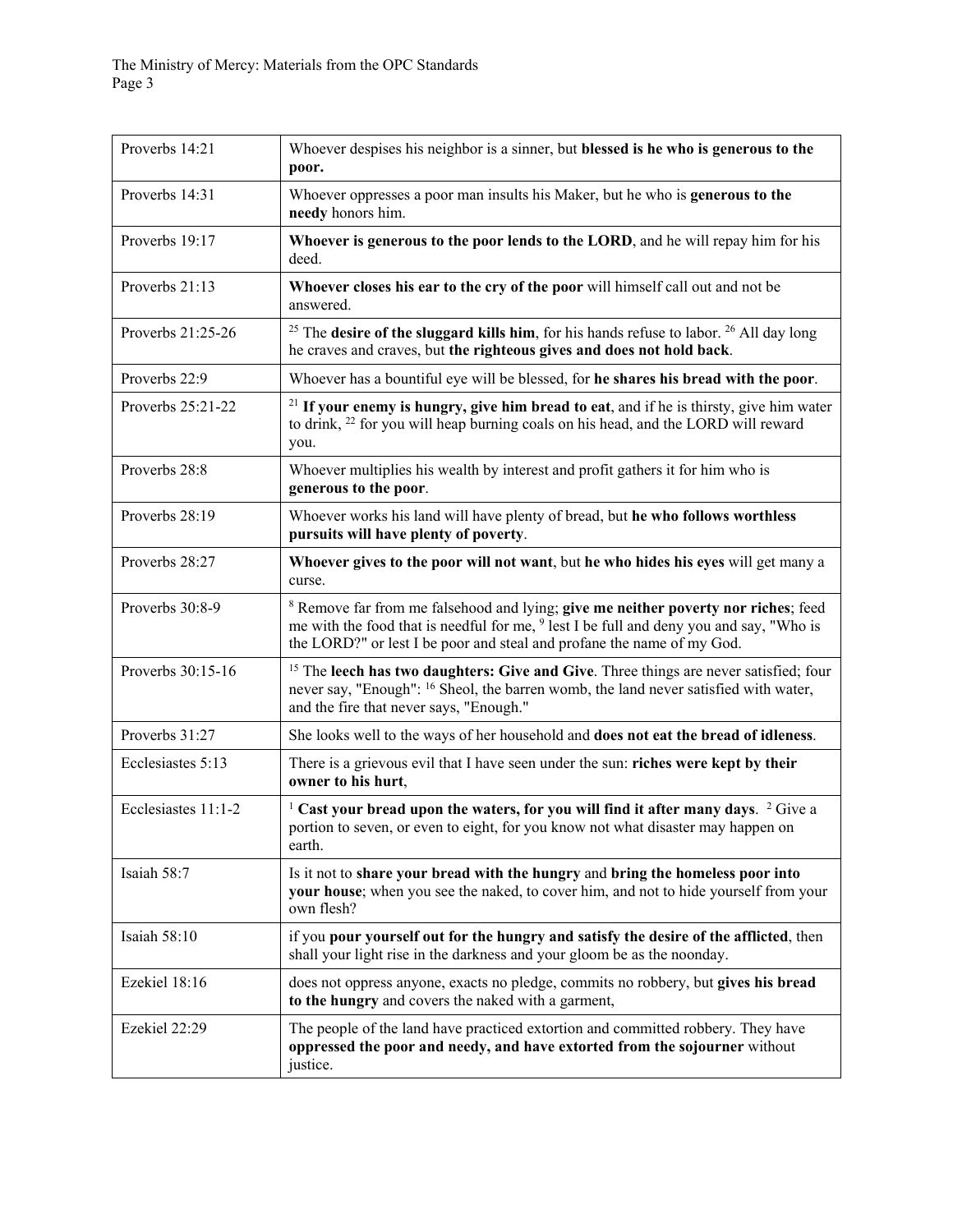| Proverbs 14:21      | Whoever despises his neighbor is a sinner, but blessed is he who is generous to the<br>poor.                                                                                                                                                                                  |
|---------------------|-------------------------------------------------------------------------------------------------------------------------------------------------------------------------------------------------------------------------------------------------------------------------------|
| Proverbs 14:31      | Whoever oppresses a poor man insults his Maker, but he who is generous to the<br>needy honors him.                                                                                                                                                                            |
| Proverbs 19:17      | Whoever is generous to the poor lends to the LORD, and he will repay him for his<br>deed.                                                                                                                                                                                     |
| Proverbs 21:13      | Whoever closes his ear to the cry of the poor will himself call out and not be<br>answered.                                                                                                                                                                                   |
| Proverbs 21:25-26   | <sup>25</sup> The <b>desire of the sluggard kills him</b> , for his hands refuse to labor. <sup>26</sup> All day long<br>he craves and craves, but the righteous gives and does not hold back.                                                                                |
| Proverbs 22:9       | Whoever has a bountiful eye will be blessed, for he shares his bread with the poor.                                                                                                                                                                                           |
| Proverbs 25:21-22   | $21$ If your enemy is hungry, give him bread to eat, and if he is thirsty, give him water<br>to drink, <sup>22</sup> for you will heap burning coals on his head, and the LORD will reward<br>you.                                                                            |
| Proverbs 28:8       | Whoever multiplies his wealth by interest and profit gathers it for him who is<br>generous to the poor.                                                                                                                                                                       |
| Proverbs 28:19      | Whoever works his land will have plenty of bread, but he who follows worthless<br>pursuits will have plenty of poverty.                                                                                                                                                       |
| Proverbs 28:27      | Whoever gives to the poor will not want, but he who hides his eyes will get many a<br>curse.                                                                                                                                                                                  |
| Proverbs 30:8-9     | <sup>8</sup> Remove far from me falsehood and lying; give me neither poverty nor riches; feed<br>me with the food that is needful for me, <sup>9</sup> lest I be full and deny you and say, "Who is<br>the LORD?" or lest I be poor and steal and profane the name of my God. |
| Proverbs 30:15-16   | <sup>15</sup> The leech has two daughters: Give and Give. Three things are never satisfied; four<br>never say, "Enough": <sup>16</sup> Sheol, the barren womb, the land never satisfied with water,<br>and the fire that never says, "Enough."                                |
| Proverbs 31:27      | She looks well to the ways of her household and does not eat the bread of idleness.                                                                                                                                                                                           |
| Ecclesiastes 5:13   | There is a grievous evil that I have seen under the sun: riches were kept by their<br>owner to his hurt,                                                                                                                                                                      |
| Ecclesiastes 11:1-2 | <sup>1</sup> Cast your bread upon the waters, for you will find it after many days. <sup>2</sup> Give a<br>portion to seven, or even to eight, for you know not what disaster may happen on<br>earth.                                                                         |
| Isaiah 58:7         | Is it not to share your bread with the hungry and bring the homeless poor into<br>your house; when you see the naked, to cover him, and not to hide yourself from your<br>own flesh?                                                                                          |
| Isaiah 58:10        | if you pour yourself out for the hungry and satisfy the desire of the afflicted, then<br>shall your light rise in the darkness and your gloom be as the noonday.                                                                                                              |
| Ezekiel 18:16       | does not oppress anyone, exacts no pledge, commits no robbery, but gives his bread<br>to the hungry and covers the naked with a garment,                                                                                                                                      |
| Ezekiel 22:29       | The people of the land have practiced extortion and committed robbery. They have<br>oppressed the poor and needy, and have extorted from the sojourner without<br>justice.                                                                                                    |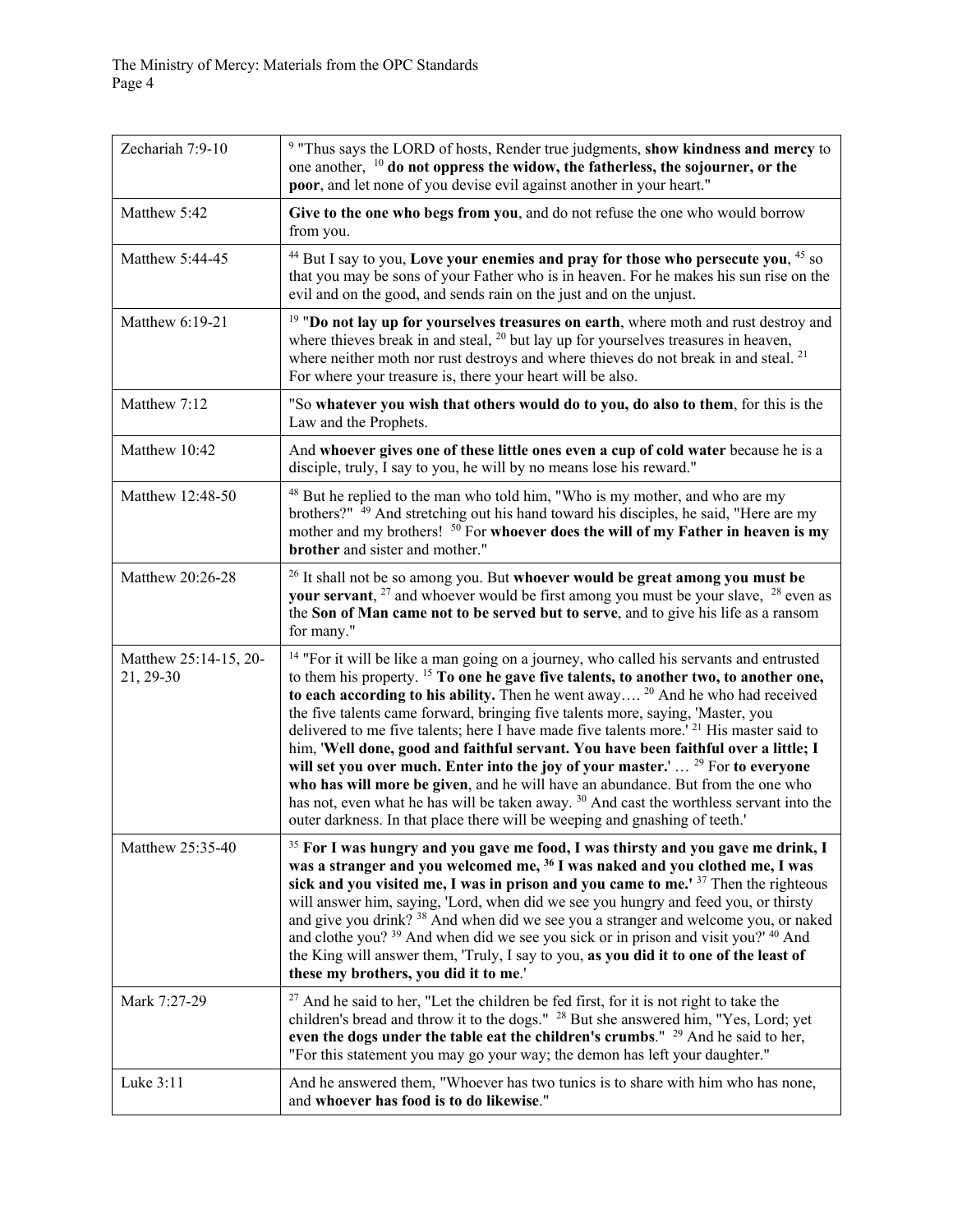| Zechariah 7:9-10                   | <sup>9</sup> "Thus says the LORD of hosts, Render true judgments, show kindness and mercy to<br>one another, <sup>10</sup> do not oppress the widow, the fatherless, the sojourner, or the<br>poor, and let none of you devise evil against another in your heart."                                                                                                                                                                                                                                                                                                                                                                                                                                                                                                                                                                                                                                                                                  |
|------------------------------------|------------------------------------------------------------------------------------------------------------------------------------------------------------------------------------------------------------------------------------------------------------------------------------------------------------------------------------------------------------------------------------------------------------------------------------------------------------------------------------------------------------------------------------------------------------------------------------------------------------------------------------------------------------------------------------------------------------------------------------------------------------------------------------------------------------------------------------------------------------------------------------------------------------------------------------------------------|
| Matthew 5:42                       | Give to the one who begs from you, and do not refuse the one who would borrow<br>from you.                                                                                                                                                                                                                                                                                                                                                                                                                                                                                                                                                                                                                                                                                                                                                                                                                                                           |
| Matthew 5:44-45                    | <sup>44</sup> But I say to you, Love your enemies and pray for those who persecute you, <sup>45</sup> so<br>that you may be sons of your Father who is in heaven. For he makes his sun rise on the<br>evil and on the good, and sends rain on the just and on the unjust.                                                                                                                                                                                                                                                                                                                                                                                                                                                                                                                                                                                                                                                                            |
| Matthew 6:19-21                    | <sup>19</sup> "Do not lay up for yourselves treasures on earth, where moth and rust destroy and<br>where thieves break in and steal, $20$ but lay up for yourselves treasures in heaven,<br>where neither moth nor rust destroys and where thieves do not break in and steal. <sup>21</sup><br>For where your treasure is, there your heart will be also.                                                                                                                                                                                                                                                                                                                                                                                                                                                                                                                                                                                            |
| Matthew 7:12                       | "So whatever you wish that others would do to you, do also to them, for this is the<br>Law and the Prophets.                                                                                                                                                                                                                                                                                                                                                                                                                                                                                                                                                                                                                                                                                                                                                                                                                                         |
| Matthew 10:42                      | And whoever gives one of these little ones even a cup of cold water because he is a<br>disciple, truly, I say to you, he will by no means lose his reward."                                                                                                                                                                                                                                                                                                                                                                                                                                                                                                                                                                                                                                                                                                                                                                                          |
| Matthew 12:48-50                   | <sup>48</sup> But he replied to the man who told him, "Who is my mother, and who are my<br>brothers?" <sup>49</sup> And stretching out his hand toward his disciples, he said, "Here are my<br>mother and my brothers! <sup>50</sup> For whoever does the will of my Father in heaven is my<br>brother and sister and mother."                                                                                                                                                                                                                                                                                                                                                                                                                                                                                                                                                                                                                       |
| Matthew 20:26-28                   | <sup>26</sup> It shall not be so among you. But whoever would be great among you must be<br><b>your servant</b> , $27$ and whoever would be first among you must be your slave, $28$ even as<br>the Son of Man came not to be served but to serve, and to give his life as a ransom<br>for many."                                                                                                                                                                                                                                                                                                                                                                                                                                                                                                                                                                                                                                                    |
| Matthew 25:14-15, 20-<br>21, 29-30 | <sup>14</sup> "For it will be like a man going on a journey, who called his servants and entrusted<br>to them his property. <sup>15</sup> To one he gave five talents, to another two, to another one,<br>to each according to his ability. Then he went away $^{20}$ And he who had received<br>the five talents came forward, bringing five talents more, saying, 'Master, you<br>delivered to me five talents; here I have made five talents more.' <sup>21</sup> His master said to<br>him, 'Well done, good and faithful servant. You have been faithful over a little; I<br>will set you over much. Enter into the joy of your master.' <sup>29</sup> For to everyone<br>who has will more be given, and he will have an abundance. But from the one who<br>has not, even what he has will be taken away. <sup>30</sup> And cast the worthless servant into the<br>outer darkness. In that place there will be weeping and gnashing of teeth.' |
| Matthew 25:35-40                   | <sup>35</sup> For I was hungry and you gave me food, I was thirsty and you gave me drink, I<br>was a stranger and you welcomed me, <sup>36</sup> I was naked and you clothed me, I was<br>sick and you visited me, I was in prison and you came to me.' $37$ Then the righteous<br>will answer him, saying, 'Lord, when did we see you hungry and feed you, or thirsty<br>and give you drink? <sup>38</sup> And when did we see you a stranger and welcome you, or naked<br>and clothe you? <sup>39</sup> And when did we see you sick or in prison and visit you?' <sup>40</sup> And<br>the King will answer them, 'Truly, I say to you, as you did it to one of the least of<br>these my brothers, you did it to me.'                                                                                                                                                                                                                              |
| Mark 7:27-29                       | <sup>27</sup> And he said to her, "Let the children be fed first, for it is not right to take the<br>children's bread and throw it to the dogs." <sup>28</sup> But she answered him, "Yes, Lord; yet<br>even the dogs under the table eat the children's crumbs." <sup>29</sup> And he said to her,<br>"For this statement you may go your way; the demon has left your daughter."                                                                                                                                                                                                                                                                                                                                                                                                                                                                                                                                                                   |
| Luke 3:11                          | And he answered them, "Whoever has two tunics is to share with him who has none,<br>and whoever has food is to do likewise."                                                                                                                                                                                                                                                                                                                                                                                                                                                                                                                                                                                                                                                                                                                                                                                                                         |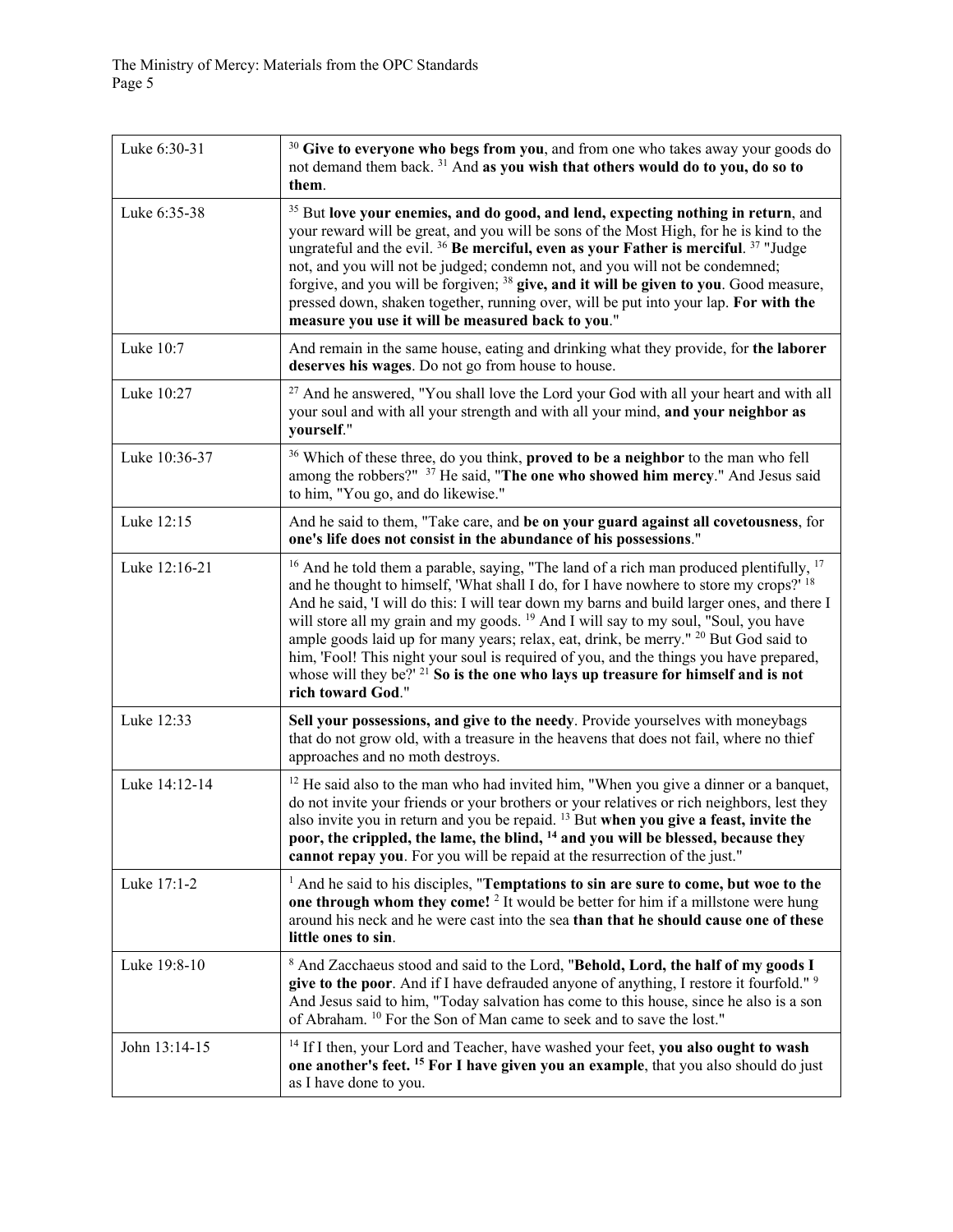| Luke 6:30-31  | <sup>30</sup> Give to everyone who begs from you, and from one who takes away your goods do<br>not demand them back. <sup>31</sup> And as you wish that others would do to you, do so to<br>them.                                                                                                                                                                                                                                                                                                                                                                                                                                                                                                                |
|---------------|------------------------------------------------------------------------------------------------------------------------------------------------------------------------------------------------------------------------------------------------------------------------------------------------------------------------------------------------------------------------------------------------------------------------------------------------------------------------------------------------------------------------------------------------------------------------------------------------------------------------------------------------------------------------------------------------------------------|
| Luke 6:35-38  | <sup>35</sup> But love your enemies, and do good, and lend, expecting nothing in return, and<br>your reward will be great, and you will be sons of the Most High, for he is kind to the<br>ungrateful and the evil. <sup>36</sup> Be merciful, even as your Father is merciful. <sup>37</sup> "Judge<br>not, and you will not be judged; condemn not, and you will not be condemned;<br>forgive, and you will be forgiven; <sup>38</sup> give, and it will be given to you. Good measure,<br>pressed down, shaken together, running over, will be put into your lap. For with the<br>measure you use it will be measured back to you."                                                                           |
| Luke 10:7     | And remain in the same house, eating and drinking what they provide, for the laborer<br>deserves his wages. Do not go from house to house.                                                                                                                                                                                                                                                                                                                                                                                                                                                                                                                                                                       |
| Luke 10:27    | <sup>27</sup> And he answered, "You shall love the Lord your God with all your heart and with all<br>your soul and with all your strength and with all your mind, and your neighbor as<br>yourself."                                                                                                                                                                                                                                                                                                                                                                                                                                                                                                             |
| Luke 10:36-37 | <sup>36</sup> Which of these three, do you think, <b>proved to be a neighbor</b> to the man who fell<br>among the robbers?" <sup>37</sup> He said, "The one who showed him mercy." And Jesus said<br>to him, "You go, and do likewise."                                                                                                                                                                                                                                                                                                                                                                                                                                                                          |
| Luke 12:15    | And he said to them, "Take care, and be on your guard against all covetousness, for<br>one's life does not consist in the abundance of his possessions."                                                                                                                                                                                                                                                                                                                                                                                                                                                                                                                                                         |
| Luke 12:16-21 | <sup>16</sup> And he told them a parable, saying, "The land of a rich man produced plentifully, $17$<br>and he thought to himself, 'What shall I do, for I have nowhere to store my crops?' 18<br>And he said, 'I will do this: I will tear down my barns and build larger ones, and there I<br>will store all my grain and my goods. <sup>19</sup> And I will say to my soul, "Soul, you have<br>ample goods laid up for many years; relax, eat, drink, be merry." <sup>20</sup> But God said to<br>him, 'Fool! This night your soul is required of you, and the things you have prepared,<br>whose will they be?' <sup>21</sup> So is the one who lays up treasure for himself and is not<br>rich toward God." |
| Luke 12:33    | Sell your possessions, and give to the needy. Provide yourselves with moneybags<br>that do not grow old, with a treasure in the heavens that does not fail, where no thief<br>approaches and no moth destroys.                                                                                                                                                                                                                                                                                                                                                                                                                                                                                                   |
| Luke 14:12-14 | <sup>12</sup> He said also to the man who had invited him, "When you give a dinner or a banquet,<br>do not invite your friends or your brothers or your relatives or rich neighbors, lest they<br>also invite you in return and you be repaid. <sup>13</sup> But when you give a feast, invite the<br>poor, the crippled, the lame, the blind, <sup>14</sup> and you will be blessed, because they<br>cannot repay you. For you will be repaid at the resurrection of the just."                                                                                                                                                                                                                                 |
| Luke 17:1-2   | $1$ And he said to his disciples, "Temptations to sin are sure to come, but woe to the<br>one through whom they come! <sup>2</sup> It would be better for him if a millstone were hung<br>around his neck and he were cast into the sea than that he should cause one of these<br>little ones to sin.                                                                                                                                                                                                                                                                                                                                                                                                            |
| Luke 19:8-10  | <sup>8</sup> And Zacchaeus stood and said to the Lord, "Behold, Lord, the half of my goods I<br>give to the poor. And if I have defrauded anyone of anything, I restore it fourfold." <sup>9</sup><br>And Jesus said to him, "Today salvation has come to this house, since he also is a son<br>of Abraham. <sup>10</sup> For the Son of Man came to seek and to save the lost."                                                                                                                                                                                                                                                                                                                                 |
| John 13:14-15 | <sup>14</sup> If I then, your Lord and Teacher, have washed your feet, you also ought to wash<br>one another's feet. <sup>15</sup> For I have given you an example, that you also should do just<br>as I have done to you.                                                                                                                                                                                                                                                                                                                                                                                                                                                                                       |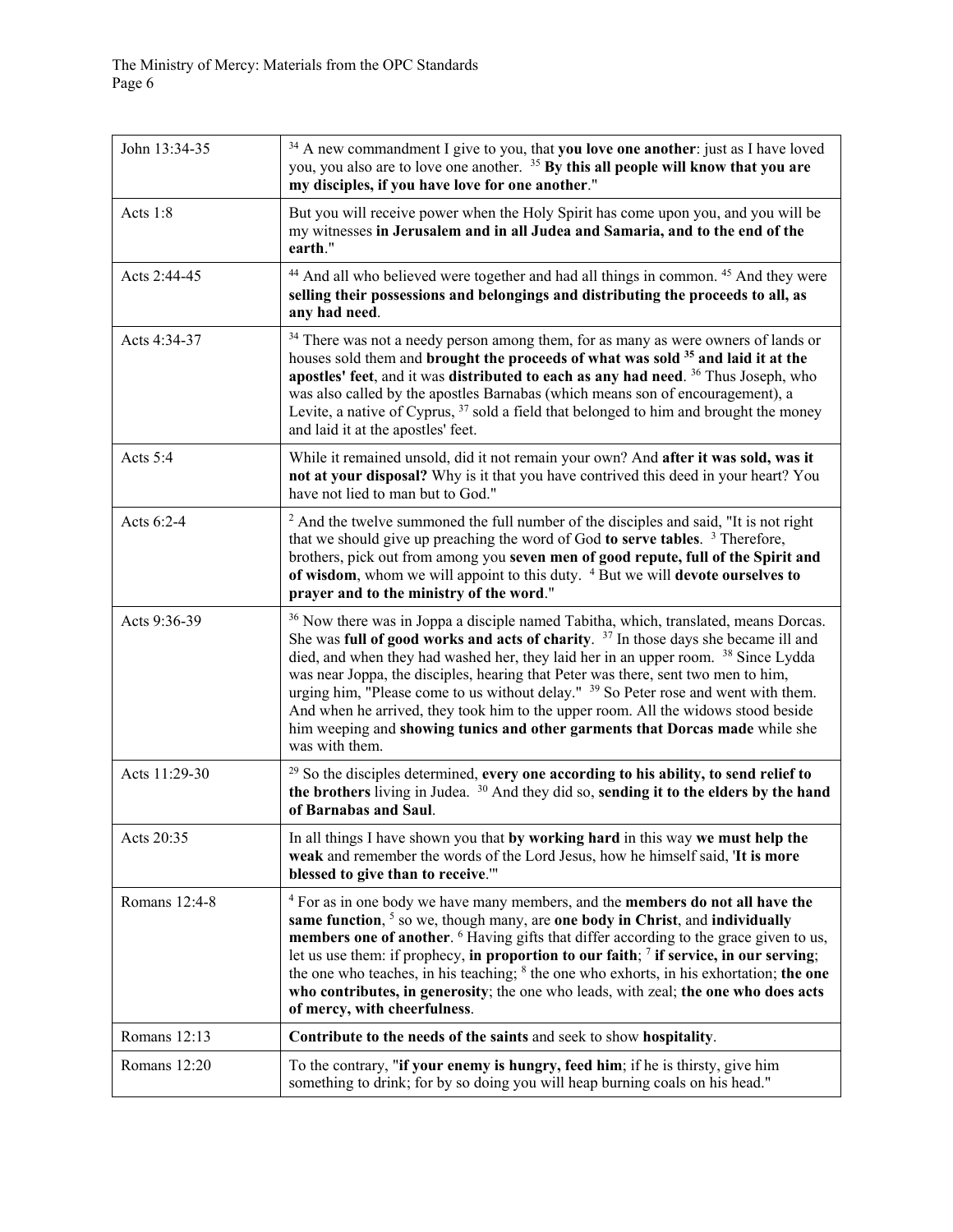| John 13:34-35 | <sup>34</sup> A new commandment I give to you, that you love one another: just as I have loved<br>you, you also are to love one another. <sup>35</sup> By this all people will know that you are<br>my disciples, if you have love for one another."                                                                                                                                                                                                                                                                                                                                                                                                                    |
|---------------|-------------------------------------------------------------------------------------------------------------------------------------------------------------------------------------------------------------------------------------------------------------------------------------------------------------------------------------------------------------------------------------------------------------------------------------------------------------------------------------------------------------------------------------------------------------------------------------------------------------------------------------------------------------------------|
| Acts 1:8      | But you will receive power when the Holy Spirit has come upon you, and you will be<br>my witnesses in Jerusalem and in all Judea and Samaria, and to the end of the<br>earth."                                                                                                                                                                                                                                                                                                                                                                                                                                                                                          |
| Acts 2:44-45  | <sup>44</sup> And all who believed were together and had all things in common. <sup>45</sup> And they were<br>selling their possessions and belongings and distributing the proceeds to all, as<br>any had need.                                                                                                                                                                                                                                                                                                                                                                                                                                                        |
| Acts 4:34-37  | <sup>34</sup> There was not a needy person among them, for as many as were owners of lands or<br>houses sold them and brought the proceeds of what was sold <sup>35</sup> and laid it at the<br>apostles' feet, and it was distributed to each as any had need. <sup>36</sup> Thus Joseph, who<br>was also called by the apostles Barnabas (which means son of encouragement), a<br>Levite, a native of Cyprus, <sup>37</sup> sold a field that belonged to him and brought the money<br>and laid it at the apostles' feet.                                                                                                                                             |
| Acts 5:4      | While it remained unsold, did it not remain your own? And after it was sold, was it<br>not at your disposal? Why is it that you have contrived this deed in your heart? You<br>have not lied to man but to God."                                                                                                                                                                                                                                                                                                                                                                                                                                                        |
| Acts 6:2-4    | <sup>2</sup> And the twelve summoned the full number of the disciples and said, "It is not right<br>that we should give up preaching the word of God to serve tables. <sup>3</sup> Therefore,<br>brothers, pick out from among you seven men of good repute, full of the Spirit and<br>of wisdom, whom we will appoint to this duty. <sup>4</sup> But we will devote ourselves to<br>prayer and to the ministry of the word."                                                                                                                                                                                                                                           |
| Acts 9:36-39  | <sup>36</sup> Now there was in Joppa a disciple named Tabitha, which, translated, means Dorcas.<br>She was full of good works and acts of charity. $37$ In those days she became ill and<br>died, and when they had washed her, they laid her in an upper room. <sup>38</sup> Since Lydda<br>was near Joppa, the disciples, hearing that Peter was there, sent two men to him,<br>urging him, "Please come to us without delay." <sup>39</sup> So Peter rose and went with them.<br>And when he arrived, they took him to the upper room. All the widows stood beside<br>him weeping and showing tunics and other garments that Dorcas made while she<br>was with them. |
| Acts 11:29-30 | <sup>29</sup> So the disciples determined, every one according to his ability, to send relief to<br>the brothers living in Judea. <sup>30</sup> And they did so, sending it to the elders by the hand<br>of Barnabas and Saul.                                                                                                                                                                                                                                                                                                                                                                                                                                          |
| Acts 20:35    | In all things I have shown you that by working hard in this way we must help the<br>weak and remember the words of the Lord Jesus, how he himself said, 'It is more<br>blessed to give than to receive.""                                                                                                                                                                                                                                                                                                                                                                                                                                                               |
| Romans 12:4-8 | <sup>4</sup> For as in one body we have many members, and the <b>members do not all have the</b><br>same function, <sup>5</sup> so we, though many, are one body in Christ, and individually<br>members one of another. <sup>6</sup> Having gifts that differ according to the grace given to us,<br>let us use them: if prophecy, in proportion to our faith; $\frac{7}{7}$ if service, in our serving;<br>the one who teaches, in his teaching; <sup>8</sup> the one who exhorts, in his exhortation; the one<br>who contributes, in generosity; the one who leads, with zeal; the one who does acts<br>of mercy, with cheerfulness.                                  |
| Romans 12:13  | Contribute to the needs of the saints and seek to show hospitality.                                                                                                                                                                                                                                                                                                                                                                                                                                                                                                                                                                                                     |
| Romans 12:20  | To the contrary, "if your enemy is hungry, feed him; if he is thirsty, give him<br>something to drink; for by so doing you will heap burning coals on his head."                                                                                                                                                                                                                                                                                                                                                                                                                                                                                                        |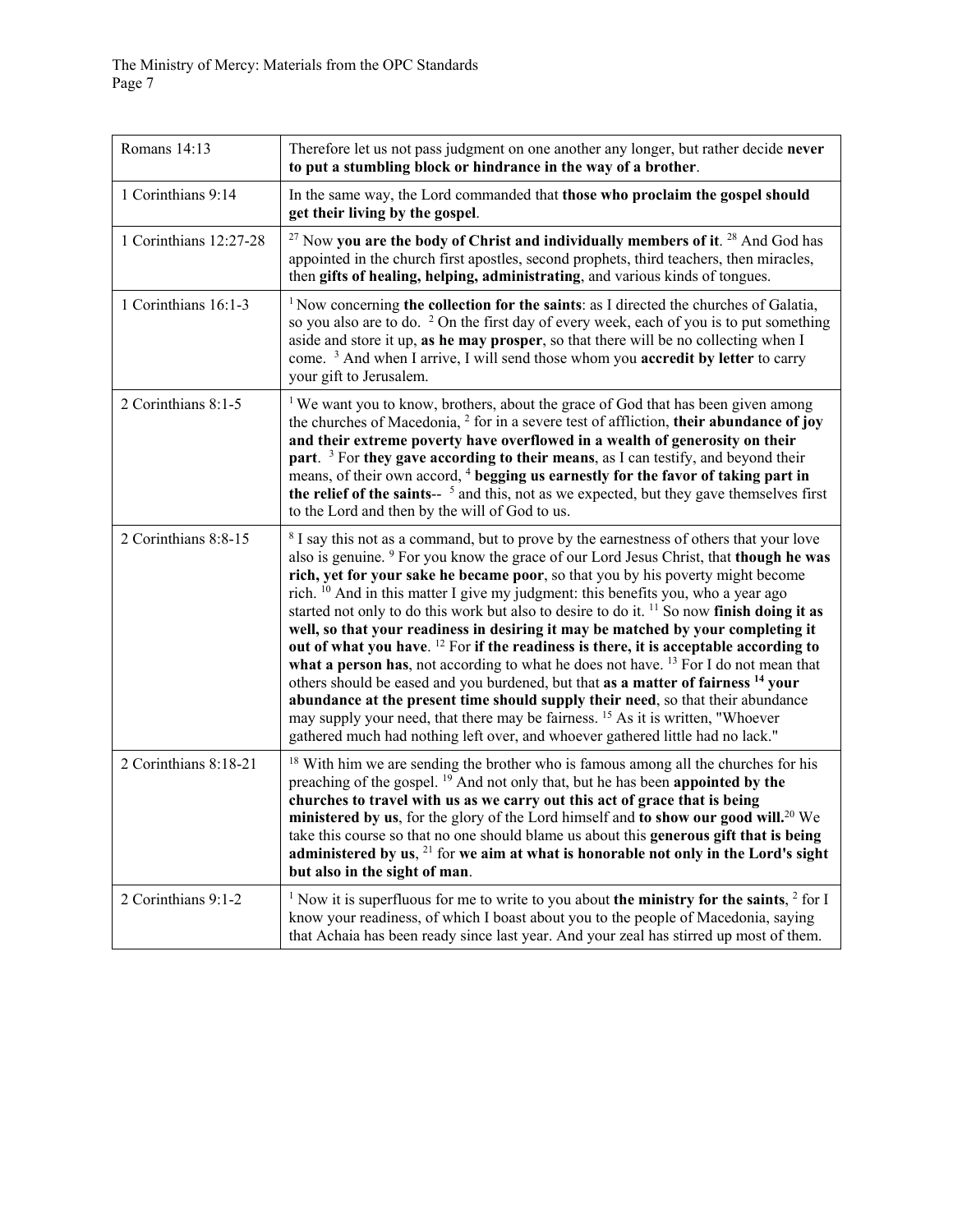| Romans 14:13           | Therefore let us not pass judgment on one another any longer, but rather decide never<br>to put a stumbling block or hindrance in the way of a brother.                                                                                                                                                                                                                                                                                                                                                                                                                                                                                                                                                                                                                                                                                                                                                                                                                                                                                                                                                                                                            |
|------------------------|--------------------------------------------------------------------------------------------------------------------------------------------------------------------------------------------------------------------------------------------------------------------------------------------------------------------------------------------------------------------------------------------------------------------------------------------------------------------------------------------------------------------------------------------------------------------------------------------------------------------------------------------------------------------------------------------------------------------------------------------------------------------------------------------------------------------------------------------------------------------------------------------------------------------------------------------------------------------------------------------------------------------------------------------------------------------------------------------------------------------------------------------------------------------|
| 1 Corinthians 9:14     | In the same way, the Lord commanded that those who proclaim the gospel should<br>get their living by the gospel.                                                                                                                                                                                                                                                                                                                                                                                                                                                                                                                                                                                                                                                                                                                                                                                                                                                                                                                                                                                                                                                   |
| 1 Corinthians 12:27-28 | $27$ Now you are the body of Christ and individually members of it. $28$ And God has<br>appointed in the church first apostles, second prophets, third teachers, then miracles,<br>then gifts of healing, helping, administrating, and various kinds of tongues.                                                                                                                                                                                                                                                                                                                                                                                                                                                                                                                                                                                                                                                                                                                                                                                                                                                                                                   |
| 1 Corinthians 16:1-3   | <sup>1</sup> Now concerning the collection for the saints: as I directed the churches of Galatia,<br>so you also are to do. $2$ On the first day of every week, each of you is to put something<br>aside and store it up, as he may prosper, so that there will be no collecting when I<br>come. <sup>3</sup> And when I arrive, I will send those whom you <b>accredit by letter</b> to carry<br>your gift to Jerusalem.                                                                                                                                                                                                                                                                                                                                                                                                                                                                                                                                                                                                                                                                                                                                          |
| 2 Corinthians 8:1-5    | <sup>1</sup> We want you to know, brothers, about the grace of God that has been given among<br>the churches of Macedonia, <sup>2</sup> for in a severe test of affliction, their abundance of joy<br>and their extreme poverty have overflowed in a wealth of generosity on their<br>part. $3$ For they gave according to their means, as I can testify, and beyond their<br>means, of their own accord, <sup>4</sup> begging us earnestly for the favor of taking part in<br>the relief of the saints-- <sup>5</sup> and this, not as we expected, but they gave themselves first<br>to the Lord and then by the will of God to us.                                                                                                                                                                                                                                                                                                                                                                                                                                                                                                                              |
| 2 Corinthians 8:8-15   | <sup>8</sup> I say this not as a command, but to prove by the earnestness of others that your love<br>also is genuine. <sup>9</sup> For you know the grace of our Lord Jesus Christ, that <b>though he was</b><br>rich, yet for your sake he became poor, so that you by his poverty might become<br>rich. <sup>10</sup> And in this matter I give my judgment: this benefits you, who a year ago<br>started not only to do this work but also to desire to do it. <sup>11</sup> So now finish doing it as<br>well, so that your readiness in desiring it may be matched by your completing it<br>out of what you have. <sup>12</sup> For if the readiness is there, it is acceptable according to<br>what a person has, not according to what he does not have. $^{13}$ For I do not mean that<br>others should be eased and you burdened, but that as a matter of fairness <sup>14</sup> your<br>abundance at the present time should supply their need, so that their abundance<br>may supply your need, that there may be fairness. <sup>15</sup> As it is written, "Whoever<br>gathered much had nothing left over, and whoever gathered little had no lack." |
| 2 Corinthians 8:18-21  | <sup>18</sup> With him we are sending the brother who is famous among all the churches for his<br>preaching of the gospel. <sup>19</sup> And not only that, but he has been appointed by the<br>churches to travel with us as we carry out this act of grace that is being<br>ministered by us, for the glory of the Lord himself and to show our good will. <sup>20</sup> We<br>take this course so that no one should blame us about this generous gift that is being<br>administered by us, $21$ for we aim at what is honorable not only in the Lord's sight<br>but also in the sight of man.                                                                                                                                                                                                                                                                                                                                                                                                                                                                                                                                                                  |
| 2 Corinthians 9:1-2    | <sup>1</sup> Now it is superfluous for me to write to you about the ministry for the saints, $2$ for I<br>know your readiness, of which I boast about you to the people of Macedonia, saying<br>that Achaia has been ready since last year. And your zeal has stirred up most of them.                                                                                                                                                                                                                                                                                                                                                                                                                                                                                                                                                                                                                                                                                                                                                                                                                                                                             |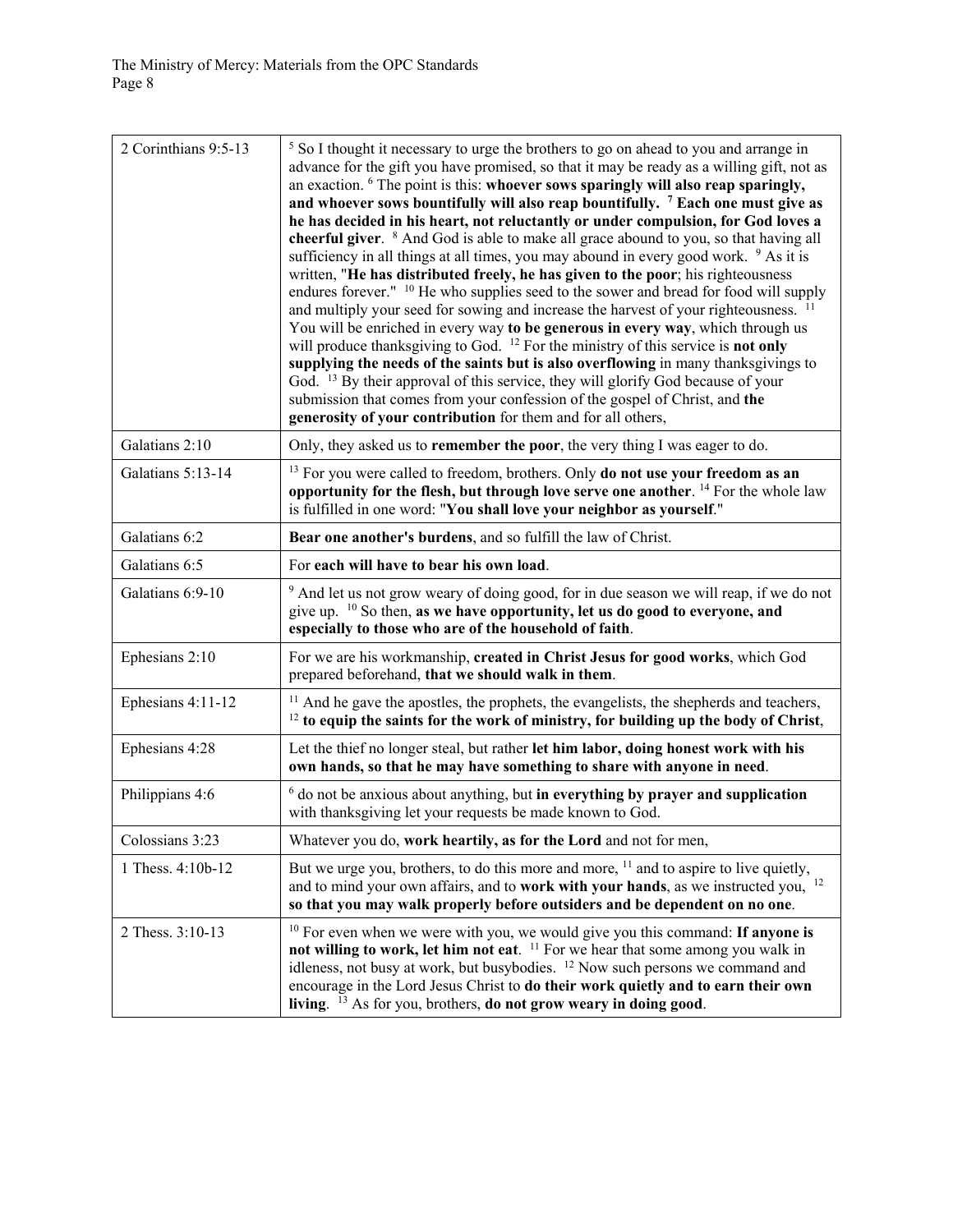| 2 Corinthians 9:5-13 | <sup>5</sup> So I thought it necessary to urge the brothers to go on ahead to you and arrange in<br>advance for the gift you have promised, so that it may be ready as a willing gift, not as<br>an exaction. <sup>6</sup> The point is this: whoever sows sparingly will also reap sparingly,<br>and whoever sows bountifully will also reap bountifully. <sup>7</sup> Each one must give as<br>he has decided in his heart, not reluctantly or under compulsion, for God loves a<br>cheerful giver. <sup>8</sup> And God is able to make all grace abound to you, so that having all<br>sufficiency in all things at all times, you may abound in every good work. <sup>9</sup> As it is<br>written, "He has distributed freely, he has given to the poor; his righteousness<br>endures forever." <sup>10</sup> He who supplies seed to the sower and bread for food will supply<br>and multiply your seed for sowing and increase the harvest of your righteousness.<br>You will be enriched in every way to be generous in every way, which through us<br>will produce thanksgiving to God. <sup>12</sup> For the ministry of this service is <b>not only</b><br>supplying the needs of the saints but is also overflowing in many thanksgivings to<br>God. <sup>13</sup> By their approval of this service, they will glorify God because of your<br>submission that comes from your confession of the gospel of Christ, and the<br>generosity of your contribution for them and for all others, |
|----------------------|-------------------------------------------------------------------------------------------------------------------------------------------------------------------------------------------------------------------------------------------------------------------------------------------------------------------------------------------------------------------------------------------------------------------------------------------------------------------------------------------------------------------------------------------------------------------------------------------------------------------------------------------------------------------------------------------------------------------------------------------------------------------------------------------------------------------------------------------------------------------------------------------------------------------------------------------------------------------------------------------------------------------------------------------------------------------------------------------------------------------------------------------------------------------------------------------------------------------------------------------------------------------------------------------------------------------------------------------------------------------------------------------------------------------------------------------------------------------------------------------------------|
| Galatians 2:10       | Only, they asked us to remember the poor, the very thing I was eager to do.                                                                                                                                                                                                                                                                                                                                                                                                                                                                                                                                                                                                                                                                                                                                                                                                                                                                                                                                                                                                                                                                                                                                                                                                                                                                                                                                                                                                                           |
| Galatians 5:13-14    | <sup>13</sup> For you were called to freedom, brothers. Only <b>do not use your freedom as an</b><br>opportunity for the flesh, but through love serve one another. <sup>14</sup> For the whole law<br>is fulfilled in one word: "You shall love your neighbor as yourself."                                                                                                                                                                                                                                                                                                                                                                                                                                                                                                                                                                                                                                                                                                                                                                                                                                                                                                                                                                                                                                                                                                                                                                                                                          |
| Galatians 6:2        | Bear one another's burdens, and so fulfill the law of Christ.                                                                                                                                                                                                                                                                                                                                                                                                                                                                                                                                                                                                                                                                                                                                                                                                                                                                                                                                                                                                                                                                                                                                                                                                                                                                                                                                                                                                                                         |
| Galatians 6:5        | For each will have to bear his own load.                                                                                                                                                                                                                                                                                                                                                                                                                                                                                                                                                                                                                                                                                                                                                                                                                                                                                                                                                                                                                                                                                                                                                                                                                                                                                                                                                                                                                                                              |
| Galatians 6:9-10     | <sup>9</sup> And let us not grow weary of doing good, for in due season we will reap, if we do not<br>give up. $10$ So then, as we have opportunity, let us do good to everyone, and<br>especially to those who are of the household of faith.                                                                                                                                                                                                                                                                                                                                                                                                                                                                                                                                                                                                                                                                                                                                                                                                                                                                                                                                                                                                                                                                                                                                                                                                                                                        |
| Ephesians 2:10       | For we are his workmanship, created in Christ Jesus for good works, which God<br>prepared beforehand, that we should walk in them.                                                                                                                                                                                                                                                                                                                                                                                                                                                                                                                                                                                                                                                                                                                                                                                                                                                                                                                                                                                                                                                                                                                                                                                                                                                                                                                                                                    |
| Ephesians 4:11-12    | <sup>11</sup> And he gave the apostles, the prophets, the evangelists, the shepherds and teachers,<br><sup>12</sup> to equip the saints for the work of ministry, for building up the body of Christ,                                                                                                                                                                                                                                                                                                                                                                                                                                                                                                                                                                                                                                                                                                                                                                                                                                                                                                                                                                                                                                                                                                                                                                                                                                                                                                 |
| Ephesians 4:28       | Let the thief no longer steal, but rather let him labor, doing honest work with his<br>own hands, so that he may have something to share with anyone in need.                                                                                                                                                                                                                                                                                                                                                                                                                                                                                                                                                                                                                                                                                                                                                                                                                                                                                                                                                                                                                                                                                                                                                                                                                                                                                                                                         |
| Philippians 4:6      | $6$ do not be anxious about anything, but in everything by prayer and supplication<br>with thanksgiving let your requests be made known to God.                                                                                                                                                                                                                                                                                                                                                                                                                                                                                                                                                                                                                                                                                                                                                                                                                                                                                                                                                                                                                                                                                                                                                                                                                                                                                                                                                       |
| Colossians 3:23      | Whatever you do, work heartily, as for the Lord and not for men,                                                                                                                                                                                                                                                                                                                                                                                                                                                                                                                                                                                                                                                                                                                                                                                                                                                                                                                                                                                                                                                                                                                                                                                                                                                                                                                                                                                                                                      |
| 1 Thess. 4:10b-12    | But we urge you, brothers, to do this more and more, <sup>11</sup> and to aspire to live quietly,<br>and to mind your own affairs, and to work with your hands, as we instructed you, <sup>12</sup><br>so that you may walk properly before outsiders and be dependent on no one.                                                                                                                                                                                                                                                                                                                                                                                                                                                                                                                                                                                                                                                                                                                                                                                                                                                                                                                                                                                                                                                                                                                                                                                                                     |
| 2 Thess. 3:10-13     | <sup>10</sup> For even when we were with you, we would give you this command: If anyone is<br>not willing to work, let him not eat. <sup>11</sup> For we hear that some among you walk in<br>idleness, not busy at work, but busybodies. <sup>12</sup> Now such persons we command and<br>encourage in the Lord Jesus Christ to do their work quietly and to earn their own<br>living. <sup>13</sup> As for you, brothers, <b>do not grow weary in doing good</b> .                                                                                                                                                                                                                                                                                                                                                                                                                                                                                                                                                                                                                                                                                                                                                                                                                                                                                                                                                                                                                                   |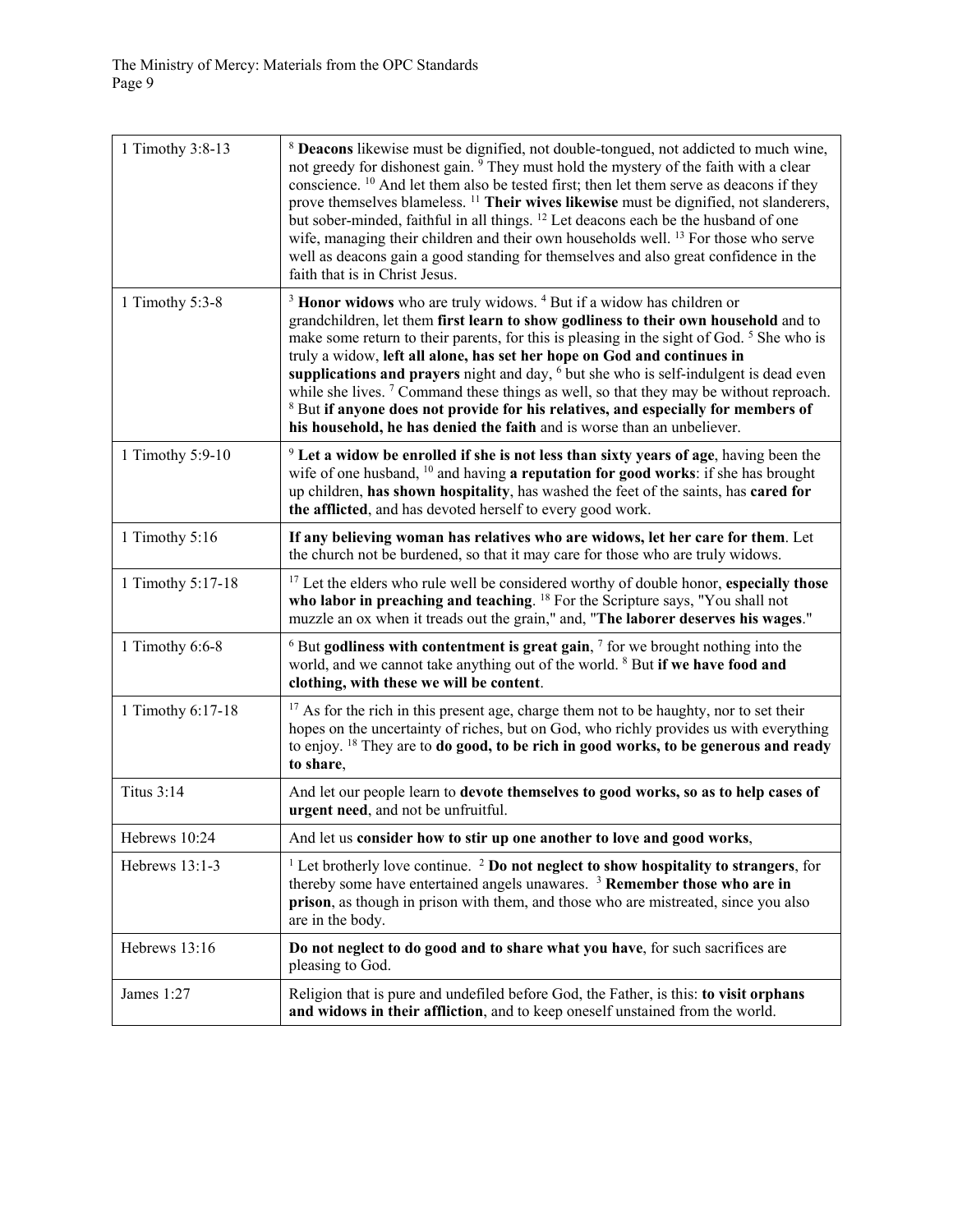| 1 Timothy 3:8-13  | <sup>8</sup> Deacons likewise must be dignified, not double-tongued, not addicted to much wine,<br>not greedy for dishonest gain. <sup>9</sup> They must hold the mystery of the faith with a clear<br>conscience. <sup>10</sup> And let them also be tested first; then let them serve as deacons if they<br>prove themselves blameless. <sup>11</sup> Their wives likewise must be dignified, not slanderers,<br>but sober-minded, faithful in all things. <sup>12</sup> Let deacons each be the husband of one<br>wife, managing their children and their own households well. <sup>13</sup> For those who serve<br>well as deacons gain a good standing for themselves and also great confidence in the<br>faith that is in Christ Jesus.             |
|-------------------|-----------------------------------------------------------------------------------------------------------------------------------------------------------------------------------------------------------------------------------------------------------------------------------------------------------------------------------------------------------------------------------------------------------------------------------------------------------------------------------------------------------------------------------------------------------------------------------------------------------------------------------------------------------------------------------------------------------------------------------------------------------|
| 1 Timothy $5:3-8$ | <sup>3</sup> Honor widows who are truly widows. <sup>4</sup> But if a widow has children or<br>grandchildren, let them first learn to show godliness to their own household and to<br>make some return to their parents, for this is pleasing in the sight of God. <sup>5</sup> She who is<br>truly a widow, left all alone, has set her hope on God and continues in<br>supplications and prayers night and day, <sup>6</sup> but she who is self-indulgent is dead even<br>while she lives. <sup>7</sup> Command these things as well, so that they may be without reproach.<br><sup>8</sup> But if anyone does not provide for his relatives, and especially for members of<br>his household, he has denied the faith and is worse than an unbeliever. |
| 1 Timothy 5:9-10  | <sup>9</sup> Let a widow be enrolled if she is not less than sixty years of age, having been the<br>wife of one husband, $10$ and having a reputation for good works: if she has brought<br>up children, has shown hospitality, has washed the feet of the saints, has cared for<br>the afflicted, and has devoted herself to every good work.                                                                                                                                                                                                                                                                                                                                                                                                            |
| 1 Timothy 5:16    | If any believing woman has relatives who are widows, let her care for them. Let<br>the church not be burdened, so that it may care for those who are truly widows.                                                                                                                                                                                                                                                                                                                                                                                                                                                                                                                                                                                        |
| 1 Timothy 5:17-18 | <sup>17</sup> Let the elders who rule well be considered worthy of double honor, especially those<br>who labor in preaching and teaching. <sup>18</sup> For the Scripture says, "You shall not<br>muzzle an ox when it treads out the grain," and, "The laborer deserves his wages."                                                                                                                                                                                                                                                                                                                                                                                                                                                                      |
| 1 Timothy 6:6-8   | $6$ But godliness with contentment is great gain, $7$ for we brought nothing into the<br>world, and we cannot take anything out of the world. <sup>8</sup> But if we have food and<br>clothing, with these we will be content.                                                                                                                                                                                                                                                                                                                                                                                                                                                                                                                            |
| 1 Timothy 6:17-18 | <sup>17</sup> As for the rich in this present age, charge them not to be haughty, nor to set their<br>hopes on the uncertainty of riches, but on God, who richly provides us with everything<br>to enjoy. <sup>18</sup> They are to <b>do good, to be rich in good works, to be generous and ready</b><br>to share,                                                                                                                                                                                                                                                                                                                                                                                                                                       |
| <b>Titus 3:14</b> | And let our people learn to devote themselves to good works, so as to help cases of<br>urgent need, and not be unfruitful.                                                                                                                                                                                                                                                                                                                                                                                                                                                                                                                                                                                                                                |
| Hebrews 10:24     | And let us consider how to stir up one another to love and good works,                                                                                                                                                                                                                                                                                                                                                                                                                                                                                                                                                                                                                                                                                    |
| Hebrews 13:1-3    | <sup>1</sup> Let brotherly love continue. <sup>2</sup> Do not neglect to show hospitality to strangers, for<br>thereby some have entertained angels unawares. $3$ Remember those who are in<br>prison, as though in prison with them, and those who are mistreated, since you also<br>are in the body.                                                                                                                                                                                                                                                                                                                                                                                                                                                    |
| Hebrews 13:16     | Do not neglect to do good and to share what you have, for such sacrifices are<br>pleasing to God.                                                                                                                                                                                                                                                                                                                                                                                                                                                                                                                                                                                                                                                         |
| James 1:27        | Religion that is pure and undefiled before God, the Father, is this: to visit orphans<br>and widows in their affliction, and to keep oneself unstained from the world.                                                                                                                                                                                                                                                                                                                                                                                                                                                                                                                                                                                    |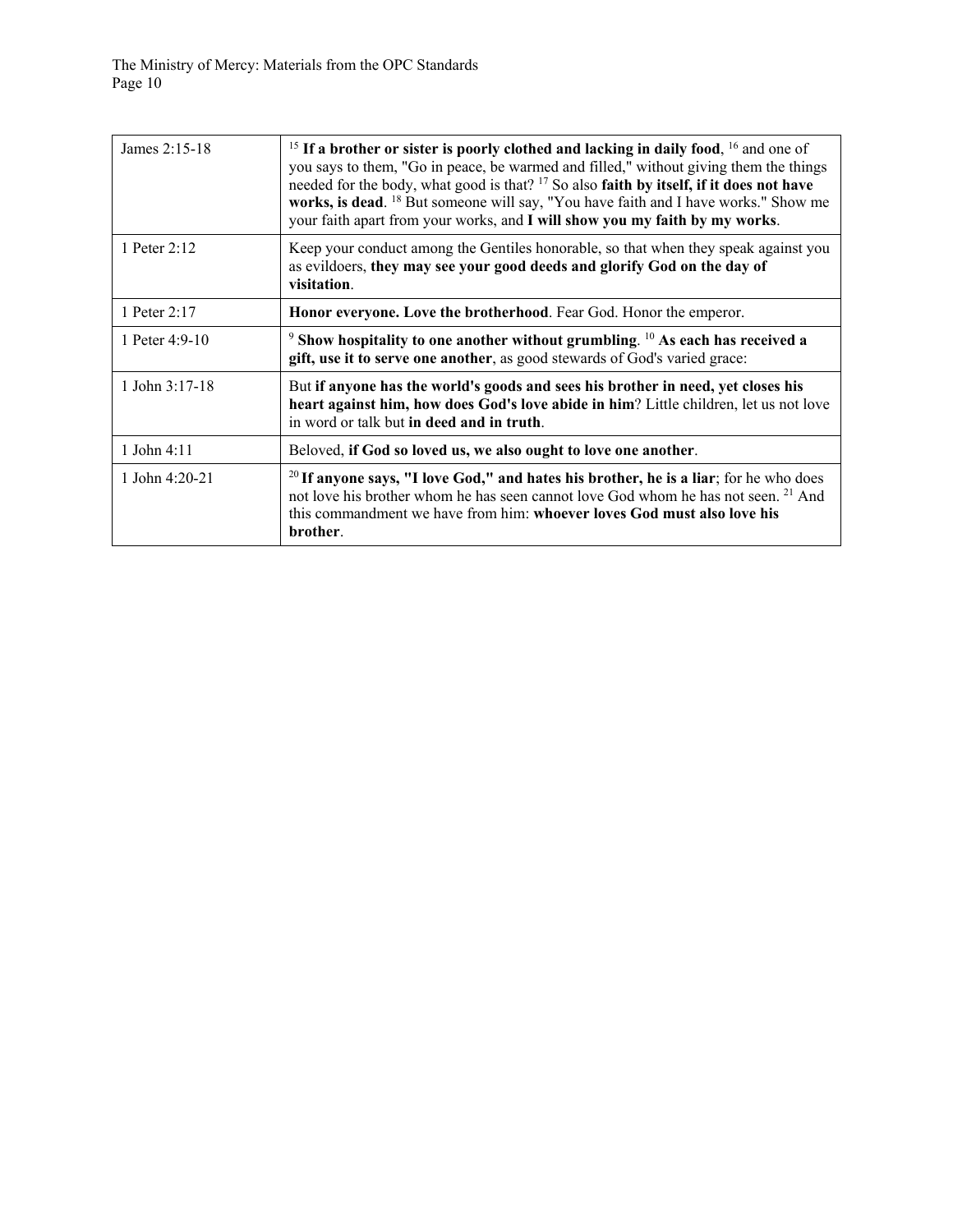The Ministry of Mercy: Materials from the OPC Standards Page 10

| James 2:15-18    | <sup>15</sup> If a brother or sister is poorly clothed and lacking in daily food, <sup>16</sup> and one of<br>you says to them, "Go in peace, be warmed and filled," without giving them the things<br>needed for the body, what good is that? <sup>17</sup> So also faith by itself, if it does not have<br>works, is dead. <sup>18</sup> But someone will say, "You have faith and I have works." Show me<br>your faith apart from your works, and I will show you my faith by my works. |
|------------------|--------------------------------------------------------------------------------------------------------------------------------------------------------------------------------------------------------------------------------------------------------------------------------------------------------------------------------------------------------------------------------------------------------------------------------------------------------------------------------------------|
| 1 Peter 2:12     | Keep your conduct among the Gentiles honorable, so that when they speak against you<br>as evildoers, they may see your good deeds and glorify God on the day of<br>visitation.                                                                                                                                                                                                                                                                                                             |
| 1 Peter 2:17     | Honor everyone. Love the brotherhood. Fear God. Honor the emperor.                                                                                                                                                                                                                                                                                                                                                                                                                         |
| 1 Peter 4:9-10   | $9$ Show hospitality to one another without grumbling. $10$ As each has received a<br>gift, use it to serve one another, as good stewards of God's varied grace:                                                                                                                                                                                                                                                                                                                           |
| 1 John $3:17-18$ | But if anyone has the world's goods and sees his brother in need, yet closes his<br>heart against him, how does God's love abide in him? Little children, let us not love<br>in word or talk but in deed and in truth.                                                                                                                                                                                                                                                                     |
| 1 John 4:11      | Beloved, if God so loved us, we also ought to love one another.                                                                                                                                                                                                                                                                                                                                                                                                                            |
| 1 John 4:20-21   | <sup>20</sup> If anyone says, "I love God," and hates his brother, he is a liar; for he who does<br>not love his brother whom he has seen cannot love God whom he has not seen. <sup>21</sup> And<br>this commandment we have from him: whoever loves God must also love his<br>brother.                                                                                                                                                                                                   |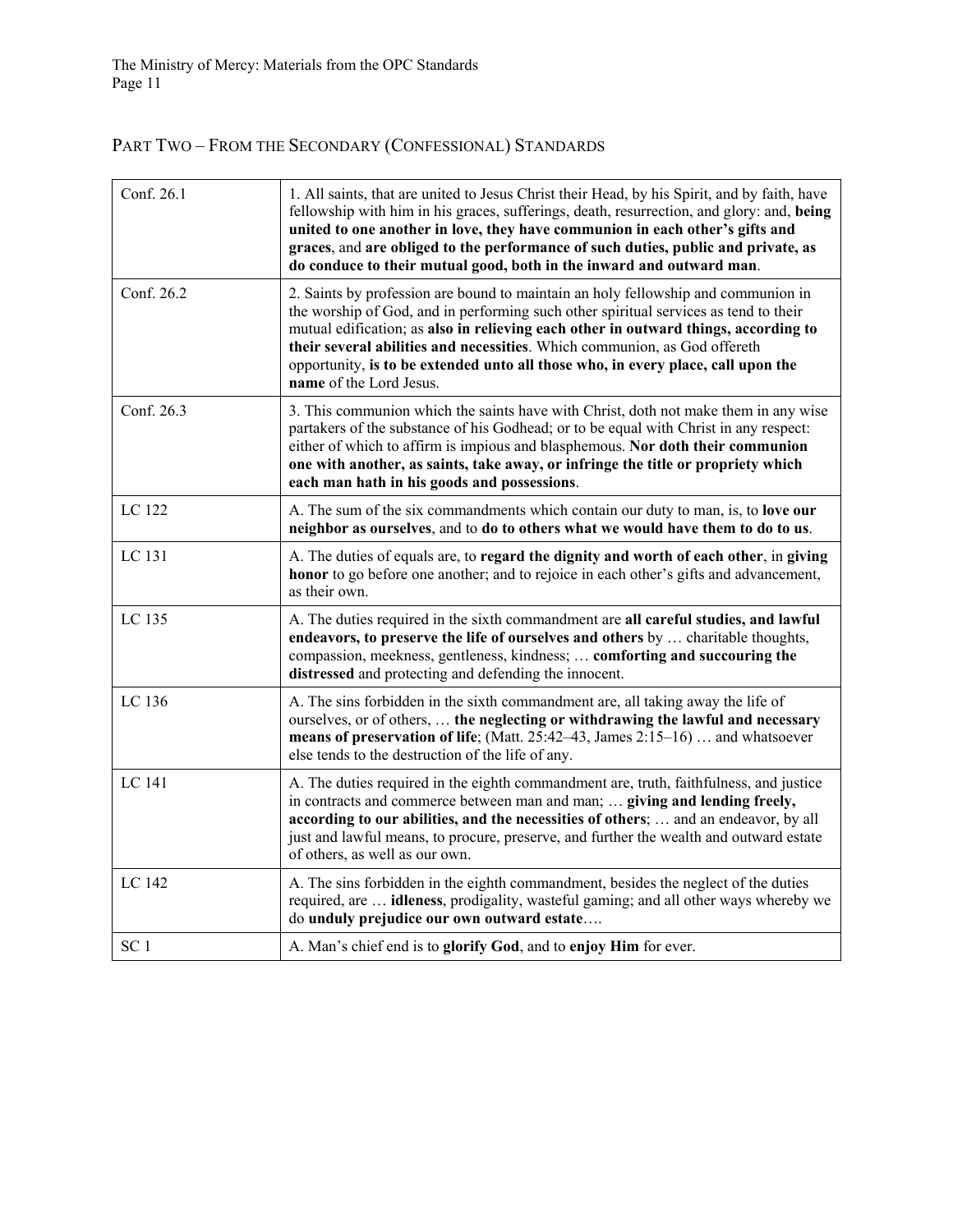# PART TWO – FROM THE SECONDARY (CONFESSIONAL) STANDARDS

| Conf. 26.1      | 1. All saints, that are united to Jesus Christ their Head, by his Spirit, and by faith, have<br>fellowship with him in his graces, sufferings, death, resurrection, and glory: and, being<br>united to one another in love, they have communion in each other's gifts and<br>graces, and are obliged to the performance of such duties, public and private, as<br>do conduce to their mutual good, both in the inward and outward man.                       |
|-----------------|--------------------------------------------------------------------------------------------------------------------------------------------------------------------------------------------------------------------------------------------------------------------------------------------------------------------------------------------------------------------------------------------------------------------------------------------------------------|
| Conf. 26.2      | 2. Saints by profession are bound to maintain an holy fellowship and communion in<br>the worship of God, and in performing such other spiritual services as tend to their<br>mutual edification; as also in relieving each other in outward things, according to<br>their several abilities and necessities. Which communion, as God offereth<br>opportunity, is to be extended unto all those who, in every place, call upon the<br>name of the Lord Jesus. |
| Conf. 26.3      | 3. This communion which the saints have with Christ, doth not make them in any wise<br>partakers of the substance of his Godhead; or to be equal with Christ in any respect:<br>either of which to affirm is impious and blasphemous. Nor doth their communion<br>one with another, as saints, take away, or infringe the title or propriety which<br>each man hath in his goods and possessions.                                                            |
| LC 122          | A. The sum of the six commandments which contain our duty to man, is, to love our<br>neighbor as ourselves, and to do to others what we would have them to do to us.                                                                                                                                                                                                                                                                                         |
| LC 131          | A. The duties of equals are, to regard the dignity and worth of each other, in giving<br>honor to go before one another; and to rejoice in each other's gifts and advancement,<br>as their own.                                                                                                                                                                                                                                                              |
| LC 135          | A. The duties required in the sixth commandment are all careful studies, and lawful<br>endeavors, to preserve the life of ourselves and others by  charitable thoughts,<br>compassion, meekness, gentleness, kindness;  comforting and succouring the<br>distressed and protecting and defending the innocent.                                                                                                                                               |
| LC 136          | A. The sins forbidden in the sixth commandment are, all taking away the life of<br>ourselves, or of others,  the neglecting or withdrawing the lawful and necessary<br>means of preservation of life; (Matt. 25:42–43, James 2:15–16)  and whatsoever<br>else tends to the destruction of the life of any.                                                                                                                                                   |
| LC 141          | A. The duties required in the eighth commandment are, truth, faithfulness, and justice<br>in contracts and commerce between man and man;  giving and lending freely,<br>according to our abilities, and the necessities of others;  and an endeavor, by all<br>just and lawful means, to procure, preserve, and further the wealth and outward estate<br>of others, as well as our own.                                                                      |
| LC 142          | A. The sins forbidden in the eighth commandment, besides the neglect of the duties<br>required, are <b>idleness</b> , prodigality, wasteful gaming; and all other ways whereby we<br>do unduly prejudice our own outward estate                                                                                                                                                                                                                              |
| SC <sub>1</sub> | A. Man's chief end is to glorify God, and to enjoy Him for ever.                                                                                                                                                                                                                                                                                                                                                                                             |